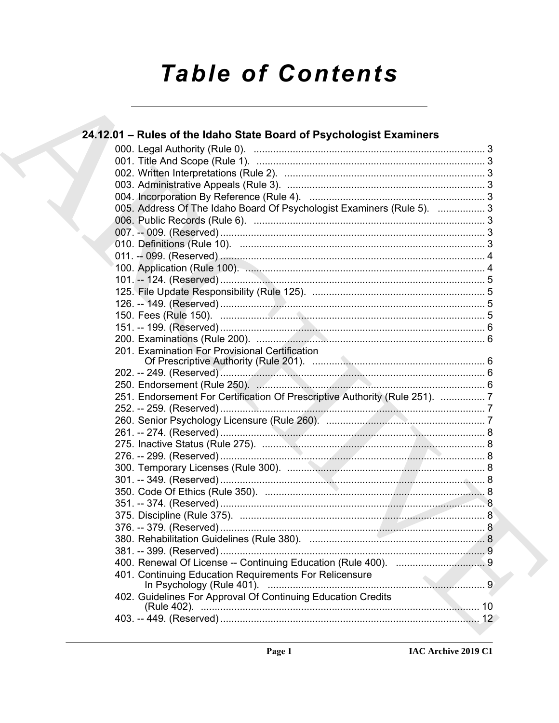# **Table of Contents**

| 24.12.01 - Rules of the Idaho State Board of Psychologist Examiners         |
|-----------------------------------------------------------------------------|
|                                                                             |
|                                                                             |
|                                                                             |
|                                                                             |
|                                                                             |
| 005. Address Of The Idaho Board Of Psychologist Examiners (Rule 5).  3      |
|                                                                             |
|                                                                             |
|                                                                             |
|                                                                             |
|                                                                             |
|                                                                             |
|                                                                             |
|                                                                             |
|                                                                             |
|                                                                             |
|                                                                             |
| 201. Examination For Provisional Certification                              |
|                                                                             |
|                                                                             |
| 251. Endorsement For Certification Of Prescriptive Authority (Rule 251).  7 |
|                                                                             |
|                                                                             |
|                                                                             |
|                                                                             |
|                                                                             |
|                                                                             |
|                                                                             |
|                                                                             |
|                                                                             |
|                                                                             |
|                                                                             |
|                                                                             |
|                                                                             |
|                                                                             |
| 401. Continuing Education Requirements For Relicensure                      |
| 402. Guidelines For Approval Of Continuing Education Credits                |
|                                                                             |
|                                                                             |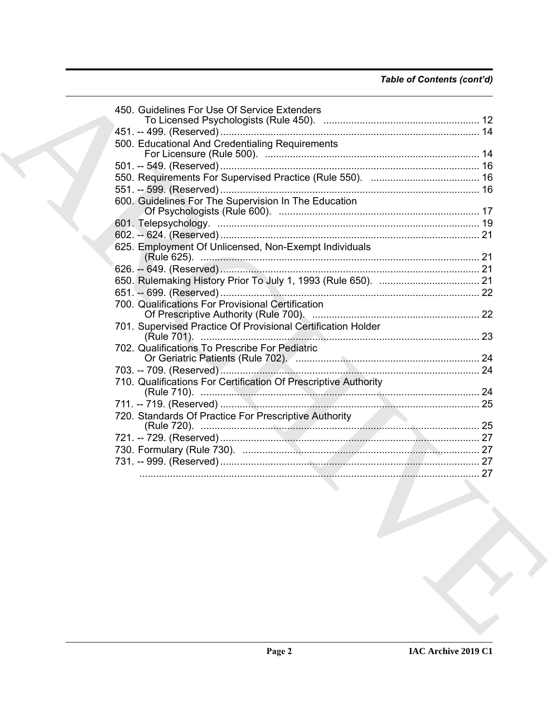|  | 450. Guidelines For Use Of Service Extenders                    |  |
|--|-----------------------------------------------------------------|--|
|  |                                                                 |  |
|  |                                                                 |  |
|  | 500. Educational And Credentialing Requirements                 |  |
|  |                                                                 |  |
|  |                                                                 |  |
|  |                                                                 |  |
|  |                                                                 |  |
|  | 600. Guidelines For The Supervision In The Education            |  |
|  |                                                                 |  |
|  |                                                                 |  |
|  | 625. Employment Of Unlicensed, Non-Exempt Individuals           |  |
|  |                                                                 |  |
|  |                                                                 |  |
|  |                                                                 |  |
|  |                                                                 |  |
|  | 700. Qualifications For Provisional Certification               |  |
|  |                                                                 |  |
|  | 701. Supervised Practice Of Provisional Certification Holder    |  |
|  | 702. Qualifications To Prescribe For Pediatric                  |  |
|  |                                                                 |  |
|  |                                                                 |  |
|  | 710. Qualifications For Certification Of Prescriptive Authority |  |
|  |                                                                 |  |
|  |                                                                 |  |
|  | 720. Standards Of Practice For Prescriptive Authority           |  |
|  |                                                                 |  |
|  |                                                                 |  |
|  |                                                                 |  |
|  |                                                                 |  |
|  |                                                                 |  |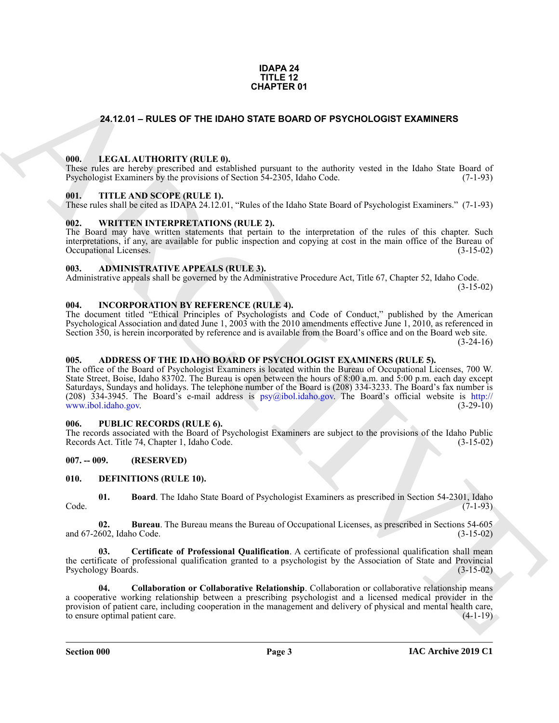#### **IDAPA 24 TITLE 12 CHAPTER 01**

#### <span id="page-2-18"></span><span id="page-2-0"></span>**24.12.01 – RULES OF THE IDAHO STATE BOARD OF PSYCHOLOGIST EXAMINERS**

#### <span id="page-2-1"></span>**000. LEGAL AUTHORITY (RULE 0).**

These rules are hereby prescribed and established pursuant to the authority vested in the Idaho State Board of Psychologist Examiners by the provisions of Section 54-2305, Idaho Code. (7-1-93)

#### <span id="page-2-20"></span><span id="page-2-2"></span>**001. TITLE AND SCOPE (RULE 1).**

These rules shall be cited as IDAPA 24.12.01, "Rules of the Idaho State Board of Psychologist Examiners." (7-1-93)

#### <span id="page-2-21"></span><span id="page-2-3"></span>**002. WRITTEN INTERPRETATIONS (RULE 2).**

The Board may have written statements that pertain to the interpretation of the rules of this chapter. Such interpretations, if any, are available for public inspection and copying at cost in the main office of the Bureau of Occupational Licenses. (3-15-02) Occupational Licenses.

#### <span id="page-2-11"></span><span id="page-2-4"></span>**003. ADMINISTRATIVE APPEALS (RULE 3).**

Administrative appeals shall be governed by the Administrative Procedure Act, Title 67, Chapter 52, Idaho Code.

(3-15-02)

#### <span id="page-2-17"></span><span id="page-2-5"></span>**004. INCORPORATION BY REFERENCE (RULE 4).**

The document titled "Ethical Principles of Psychologists and Code of Conduct," published by the American Psychological Association and dated June 1, 2003 with the 2010 amendments effective June 1, 2010, as referenced in Section 350, is herein incorporated by reference and is available from the Board's office and on the Board web site.

 $(3-24-16)$ 

#### <span id="page-2-10"></span><span id="page-2-6"></span>**005. ADDRESS OF THE IDAHO BOARD OF PSYCHOLOGIST EXAMINERS (RULE 5).**

**CHAPTER OF**<br> **CHAPTER OF THE DAND STATE BOARD OF PSYCHOLOGIST EXAMINERS**<br> **CHAPTER OF THE AND TOWELLY (BULLE B)**<br>
THE LAND SCOPE (BULLE B), the chapter of the maintive vessel is the Islam Scan Towell (Fig. 1991)<br> **CHAPTE** The office of the Board of Psychologist Examiners is located within the Bureau of Occupational Licenses, 700 W. State Street, Boise, Idaho 83702. The Bureau is open between the hours of 8:00 a.m. and 5:00 p.m. each day except Saturdays, Sundays and holidays. The telephone number of the Board is (208) 334-3233. The Board's fax number is (208) 334-3945. The Board's e-mail address is  $psy@ibol.idaho.gov$ . The Board's official website is http://<br>www.ibol.idaho.gov. (3-29-10) www.ibol.idaho.gov.

#### <span id="page-2-19"></span><span id="page-2-7"></span>**006. PUBLIC RECORDS (RULE 6).**

The records associated with the Board of Psychologist Examiners are subject to the provisions of the Idaho Public Records Act. Title 74, Chapter 1, Idaho Code. (3-15-02)

#### <span id="page-2-8"></span>**007. -- 009. (RESERVED)**

#### <span id="page-2-12"></span><span id="page-2-9"></span>**010. DEFINITIONS (RULE 10).**

<span id="page-2-13"></span>**01. Board**. The Idaho State Board of Psychologist Examiners as prescribed in Section 54-2301, Idaho Code. (7-1-93)

<span id="page-2-14"></span>**02. Bureau**. The Bureau means the Bureau of Occupational Licenses, as prescribed in Sections 54-605 and 67-2602, Idaho Code. (3-15-02)

<span id="page-2-15"></span>**03. Certificate of Professional Qualification**. A certificate of professional qualification shall mean the certificate of professional qualification granted to a psychologist by the Association of State and Provincial Psychology Boards. (3-15-02)

<span id="page-2-16"></span>**04. Collaboration or Collaborative Relationship**. Collaboration or collaborative relationship means a cooperative working relationship between a prescribing psychologist and a licensed medical provider in the provision of patient care, including cooperation in the management and delivery of physical and mental health care, to ensure optimal patient care. (4-1-19)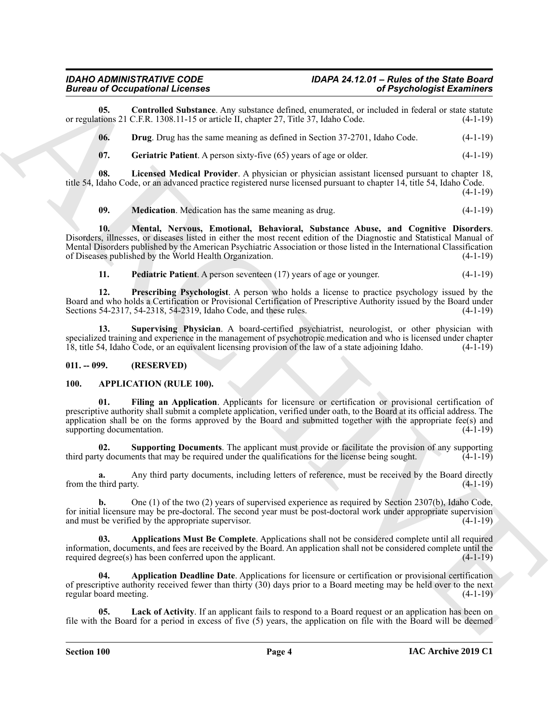**05.** Controlled Substance. Any substance defined, enumerated, or included in federal or state statute tions 21 C.F.R. 1308.11-15 or article II, chapter 27, Title 37, Idaho Code. (4-1-19) or regulations 21 C.F.R. 1308.11-15 or article II, chapter 27, Title 37, Idaho Code.

<span id="page-3-9"></span><span id="page-3-8"></span>**06. Drug**. Drug has the same meaning as defined in Section 37-2701, Idaho Code. (4-1-19)

<span id="page-3-11"></span><span id="page-3-10"></span>**07. Geriatric Patient**. A person sixty-five (65) years of age or older. (4-1-19)

**08. Licensed Medical Provider**. A physician or physician assistant licensed pursuant to chapter 18, title 54, Idaho Code, or an advanced practice registered nurse licensed pursuant to chapter 14, title 54, Idaho Code.

(4-1-19)

<span id="page-3-13"></span><span id="page-3-12"></span>**09. Medication**. Medication has the same meaning as drug. (4-1-19)

Biorcean Conception III Conception Conception Conception Conception Conception Conception Conception Conception Conception Conception Conception Conception Conception Conception Conception Conception Conception Conception **10. Mental, Nervous, Emotional, Behavioral, Substance Abuse, and Cognitive Disorders**. Disorders, illnesses, or diseases listed in either the most recent edition of the Diagnostic and Statistical Manual of Mental Disorders published by the American Psychiatric Association or those listed in the International Classification of Diseases published by the World Health Organization. (4-1-19) of Diseases published by the World Health Organization.

<span id="page-3-16"></span><span id="page-3-15"></span><span id="page-3-14"></span>**11. Pediatric Patient**. A person seventeen (17) years of age or younger. (4-1-19)

**12. Prescribing Psychologist**. A person who holds a license to practice psychology issued by the Board and who holds a Certification or Provisional Certification of Prescriptive Authority issued by the Board under<br>Sections 54-2317, 54-2318, 54-2319, Idaho Code, and these rules. (4-1-19) Sections 54-2317, 54-2318, 54-2319, Idaho Code, and these rules.

**13. Supervising Physician**. A board-certified psychiatrist, neurologist, or other physician with specialized training and experience in the management of psychotropic medication and who is licensed under chapter 18, title 54, Idaho Code, or an equivalent licensing provision of the law of a state adjoining Idaho. (4-1-19)

#### <span id="page-3-0"></span>**011. -- 099. (RESERVED)**

#### <span id="page-3-2"></span><span id="page-3-1"></span>**100. APPLICATION (RULE 100).**

<span id="page-3-5"></span>**01. Filing an Application**. Applicants for licensure or certification or provisional certification of prescriptive authority shall submit a complete application, verified under oath, to the Board at its official address. The application shall be on the forms approved by the Board and submitted together with the appropriate fee(s) and supporting documentation.  $(4-1-19)$ supporting documentation.

<span id="page-3-7"></span>**02. Supporting Documents**. The applicant must provide or facilitate the provision of any supporting third party documents that may be required under the qualifications for the license being sought.  $(4-1-19)$ 

**a.** Any third party documents, including letters of reference, must be received by the Board directly from the third party.  $(4-1-19)$ 

**b.** One (1) of the two (2) years of supervised experience as required by Section 2307(b), Idaho Code, for initial licensure may be pre-doctoral. The second year must be post-doctoral work under appropriate supervision and must be verified by the appropriate supervisor. (4-1-19) and must be verified by the appropriate supervisor.

<span id="page-3-4"></span>**03. Applications Must Be Complete**. Applications shall not be considered complete until all required information, documents, and fees are received by the Board. An application shall not be considered complete until the required degree $(s)$  has been conferred upon the applicant.

<span id="page-3-3"></span>**04. Application Deadline Date**. Applications for licensure or certification or provisional certification of prescriptive authority received fewer than thirty (30) days prior to a Board meeting may be held over to the next regular board meeting. (4-1-19)

<span id="page-3-6"></span>Lack of Activity. If an applicant fails to respond to a Board request or an application has been on file with the Board for a period in excess of five (5) years, the application on file with the Board will be deemed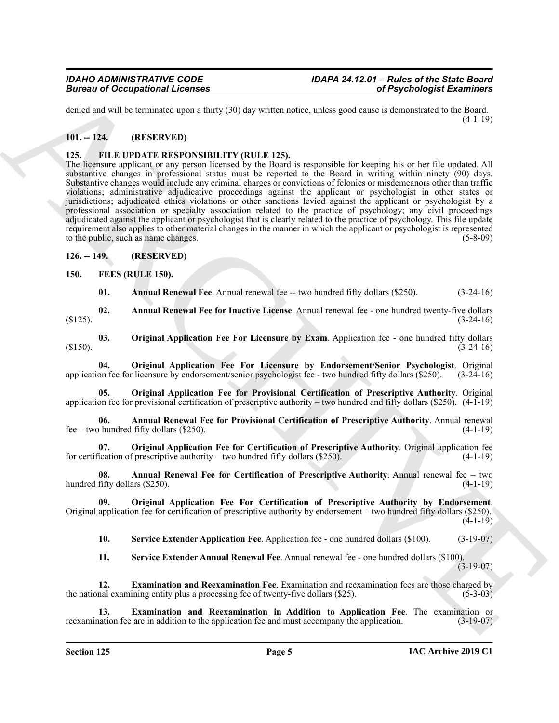denied and will be terminated upon a thirty (30) day written notice, unless good cause is demonstrated to the Board.  $(4-1-19)$ 

#### <span id="page-4-0"></span>**101. -- 124. (RESERVED)**

#### <span id="page-4-18"></span><span id="page-4-1"></span>**125. FILE UPDATE RESPONSIBILITY (RULE 125).**

**Example 20** Conceptions I Leonards and the specific and the specific desired in the specific state of the specific of the specific state of the specific state of the specific state of the specific state of the specific s The licensure applicant or any person licensed by the Board is responsible for keeping his or her file updated. All substantive changes in professional status must be reported to the Board in writing within ninety (90) days. Substantive changes would include any criminal charges or convictions of felonies or misdemeanors other than traffic violations; administrative adjudicative proceedings against the applicant or psychologist in other states or jurisdictions; adjudicated ethics violations or other sanctions levied against the applicant or psychologist by a professional association or specialty association related to the practice of psychology; any civil proceedings adjudicated against the applicant or psychologist that is clearly related to the practice of psychology. This file update requirement also applies to other material changes in the manner in which the applicant or psychologist is represented to the public, such as name changes. (5-8-09)

#### <span id="page-4-2"></span>**126. -- 149. (RESERVED)**

#### <span id="page-4-3"></span>**150. FEES (RULE 150).**

<span id="page-4-14"></span><span id="page-4-7"></span><span id="page-4-5"></span><span id="page-4-4"></span>**01.** Annual Renewal Fee. Annual renewal fee -- two hundred fifty dollars (\$250). (3-24-16)

**02. Annual Renewal Fee for Inactive License**. Annual renewal fee - one hundred twenty-five dollars  $(3-24-16)$ 

**03. Original Application Fee For Licensure by Exam**. Application fee - one hundred fifty dollars  $(3-24-16)$ 

<span id="page-4-13"></span>**04. Original Application Fee For Licensure by Endorsement/Senior Psychologist**. Original application fee for licensure by endorsement/senior psychologist fee - two hundred fifty dollars (\$250). (3-24-16)

<span id="page-4-15"></span>**05. Original Application Fee for Provisional Certification of Prescriptive Authority**. Original application fee for provisional certification of prescriptive authority – two hundred and fifty dollars (\$250). (4-1-19)

<span id="page-4-8"></span>**06. Annual Renewal Fee for Provisional Certification of Prescriptive Authority**. Annual renewal fee – two hundred fifty dollars (\$250). (4-1-19)

<span id="page-4-11"></span>**07. Original Application Fee for Certification of Prescriptive Authority**. Original application fee for certification of prescriptive authority – two hundred fifty dollars (\$250). (4-1-19)

<span id="page-4-6"></span>**08. Annual Renewal Fee for Certification of Prescriptive Authority**. Annual renewal fee – two hundred fifty dollars (\$250). (4-1-19)

**09. Original Application Fee For Certification of Prescriptive Authority by Endorsement**. Original application fee for certification of prescriptive authority by endorsement – two hundred fifty dollars (\$250).  $(4-1-19)$ 

<span id="page-4-17"></span><span id="page-4-12"></span>**10. Service Extender Application Fee**. Application fee - one hundred dollars (\$100). (3-19-07)

<span id="page-4-16"></span><span id="page-4-10"></span><span id="page-4-9"></span>**11. Service Extender Annual Renewal Fee**. Annual renewal fee - one hundred dollars (\$100).  $(3-19-07)$ 

**12. Examination and Reexamination Fee**. Examination and reexamination fees are those charged by the national examining entity plus a processing fee of twenty-five dollars  $(\$25)$ .  $(5\text{-}3\text{-}03)$ 

**13. Examination and Reexamination in Addition to Application Fee**. The examination or reexamination fee are in addition to the application fee and must accompany the application. (3-19-07)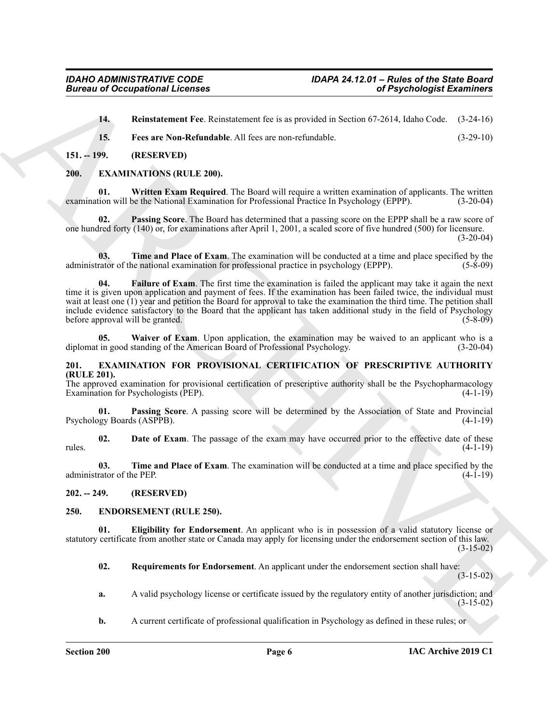<span id="page-5-19"></span><span id="page-5-18"></span>**14. Reinstatement Fee**. Reinstatement fee is as provided in Section 67-2614, Idaho Code. (3-24-16)

<span id="page-5-17"></span><span id="page-5-12"></span>**15. Fees are Non-Refundable**. All fees are non-refundable. (3-29-10)

#### <span id="page-5-0"></span>**151. -- 199. (RESERVED)**

#### <span id="page-5-1"></span>**200. EXAMINATIONS (RULE 200).**

**01. Written Exam Required**. The Board will require a written examination of applicants. The written examination will be the National Examination for Professional Practice In Psychology (EPPP). (3-20-04)

<span id="page-5-14"></span>**02. Passing Score**. The Board has determined that a passing score on the EPPP shall be a raw score of one hundred forty (140) or, for examinations after April 1, 2001, a scaled score of five hundred (500) for licensure.  $(3-20-04)$ 

<span id="page-5-15"></span><span id="page-5-13"></span>**03. Time and Place of Exam**. The examination will be conducted at a time and place specified by the administrator of the national examination for professional practice in psychology (EPPP). (5-8-09)

**Example 20 Contained Propose Cancel and C** is a provided in Section 6.9.241. Although Examines C.<br>
14. **Remarkaans Provide ALE (context provide)** is expected by the section of Proposition C-24-16)<br>
15. **Provide Solutio 04. Failure of Exam**. The first time the examination is failed the applicant may take it again the next time it is given upon application and payment of fees. If the examination has been failed twice, the individual must wait at least one (1) year and petition the Board for approval to take the examination the third time. The petition shall include evidence satisfactory to the Board that the applicant has taken additional study in the field of Psychology before approval will be granted. (5-8-09) (5-8-09)

<span id="page-5-16"></span>**05.** Waiver of Exam. Upon application, the examination may be waived to an applicant who is a in good standing of the American Board of Professional Psychology. (3-20-04) diplomat in good standing of the American Board of Professional Psychology.

#### <span id="page-5-8"></span><span id="page-5-2"></span>**201. EXAMINATION FOR PROVISIONAL CERTIFICATION OF PRESCRIPTIVE AUTHORITY (RULE 201).**

The approved examination for provisional certification of prescriptive authority shall be the Psychopharmacology Examination for Psychologists (PEP). (4-1-19)

<span id="page-5-10"></span>**01. Passing Score**. A passing score will be determined by the Association of State and Provincial Psychology Boards (ASPPB).

<span id="page-5-9"></span>**02. Date of Exam**. The passage of the exam may have occurred prior to the effective date of these rules. (4-1-19)

<span id="page-5-11"></span>**03.** Time and Place of Exam. The examination will be conducted at a time and place specified by the rator of the PEP. (4-1-19) administrator of the PEP.

<span id="page-5-3"></span>**202. -- 249. (RESERVED)**

#### <span id="page-5-5"></span><span id="page-5-4"></span>**250. ENDORSEMENT (RULE 250).**

**01. Eligibility for Endorsement**. An applicant who is in possession of a valid statutory license or statutory certificate from another state or Canada may apply for licensing under the endorsement section of this law.  $(3-15-02)$ 

<span id="page-5-7"></span><span id="page-5-6"></span>**02. Requirements for Endorsement**. An applicant under the endorsement section shall have:

(3-15-02)

- **a.** A valid psychology license or certificate issued by the regulatory entity of another jurisdiction; and (3-15-02)
- **b.** A current certificate of professional qualification in Psychology as defined in these rules; or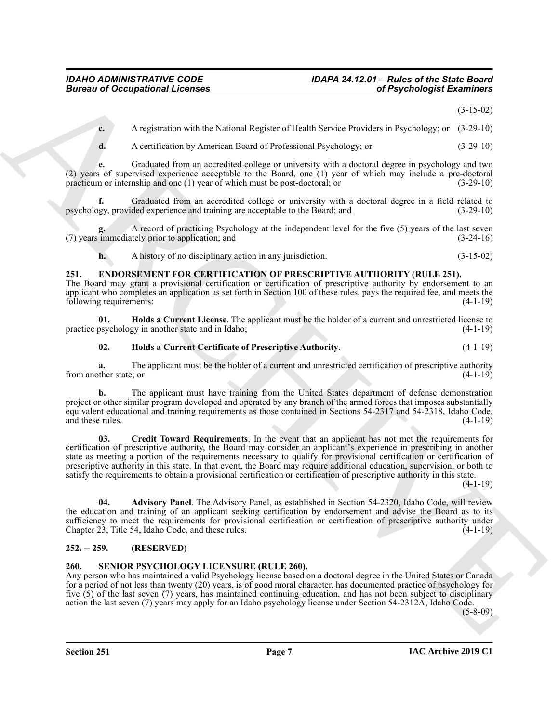(3-15-02)

**c.** A registration with the National Register of Health Service Providers in Psychology; or (3-29-10)

**d.** A certification by American Board of Professional Psychology; or (3-29-10)

**e.** Graduated from an accredited college or university with a doctoral degree in psychology and two (2) years of supervised experience acceptable to the Board, one (1) year of which may include a pre-doctoral practicum or internship and one (1) year of which must be post-doctoral; or (3-29-10)

**f.** Graduated from an accredited college or university with a doctoral degree in a field related to psychology, provided experience and training are acceptable to the Board; and (3-29-10)

**g.** A record of practicing Psychology at the independent level for the five (5) years of the last seven (7) years immediately prior to application; and (3-24-16)

<span id="page-6-3"></span>**h.** A history of no disciplinary action in any jurisdiction. (3-15-02)

#### <span id="page-6-0"></span>**251. ENDORSEMENT FOR CERTIFICATION OF PRESCRIPTIVE AUTHORITY (RULE 251).**

The Board may grant a provisional certification or certification of prescriptive authority by endorsement to an applicant who completes an application as set forth in Section 100 of these rules, pays the required fee, and meets the following requirements: (4-1-19) following requirements:

**01. Holds a Current License**. The applicant must be the holder of a current and unrestricted license to practice psychology in another state and in Idaho; (4-1-19)

#### <span id="page-6-7"></span><span id="page-6-6"></span>**02. Holds a Current Certificate of Prescriptive Authority**. (4-1-19)

**a.** The applicant must be the holder of a current and unrestricted certification of prescriptive authority from another state; or (4-1-19)

<span id="page-6-5"></span>**b.** The applicant must have training from the United States department of defense demonstration project or other similar program developed and operated by any branch of the armed forces that imposes substantially equivalent educational and training requirements as those contained in Sections 54-2317 and 54-2318, Idaho Code, and these rules.

Given to Occupational Licenses<br>
A reported over the National Reporter of Hards Nordco in Payabological Extension (2-13-21)<br>
A A reported over the National Books of The National Reporter of Hards Nordco is not all the Nati **03. Credit Toward Requirements**. In the event that an applicant has not met the requirements for certification of prescriptive authority, the Board may consider an applicant's experience in prescribing in another state as meeting a portion of the requirements necessary to qualify for provisional certification or certification of prescriptive authority in this state. In that event, the Board may require additional education, supervision, or both to satisfy the requirements to obtain a provisional certification or certification of prescriptive authority in this state.

(4-1-19)

<span id="page-6-4"></span>**04. Advisory Panel**. The Advisory Panel, as established in Section 54-2320, Idaho Code, will review the education and training of an applicant seeking certification by endorsement and advise the Board as to its sufficiency to meet the requirements for provisional certification or certification of prescriptive authority under Chapter 23, Title 54, Idaho Code, and these rules. (4-1-19)

#### <span id="page-6-1"></span>**252. -- 259. (RESERVED)**

#### <span id="page-6-8"></span><span id="page-6-2"></span>**260. SENIOR PSYCHOLOGY LICENSURE (RULE 260).**

Any person who has maintained a valid Psychology license based on a doctoral degree in the United States or Canada for a period of not less than twenty (20) years, is of good moral character, has documented practice of psychology for five (5) of the last seven (7) years, has maintained continuing education, and has not been subject to disciplinary action the last seven (7) years may apply for an Idaho psychology license under Section 54-2312A, Idaho Code.

(5-8-09)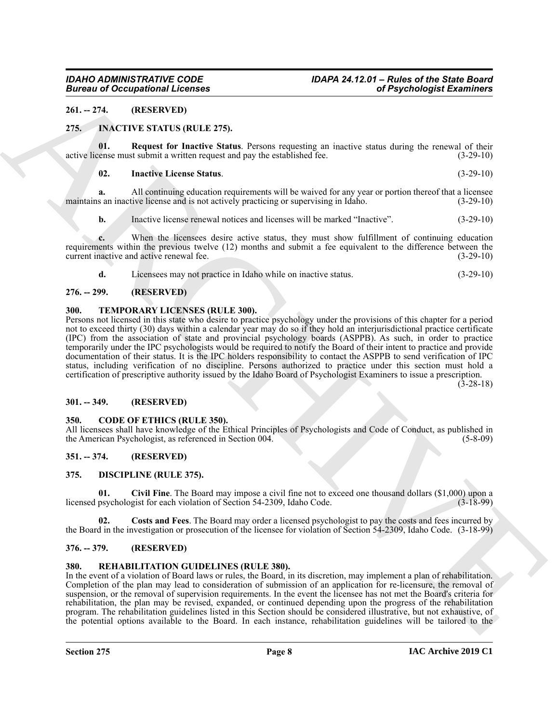#### <span id="page-7-0"></span>**261. -- 274. (RESERVED)**

#### <span id="page-7-14"></span><span id="page-7-1"></span>**275. INACTIVE STATUS (RULE 275).**

**01. Request for Inactive Status**. Persons requesting an inactive status during the renewal of their active license must submit a written request and pay the established fee. (3-29-10)

#### <span id="page-7-16"></span><span id="page-7-15"></span>**02. Inactive License Status**. (3-29-10)

**a.** All continuing education requirements will be waived for any year or portion thereof that a licensee s an inactive license and is not actively practicing or supervising in Idaho.  $(3-29-10)$ maintains an inactive license and is not actively practicing or supervising in Idaho.

**b.** Inactive license renewal notices and licenses will be marked "Inactive". (3-29-10)

**c.** When the licensees desire active status, they must show fulfillment of continuing education requirements within the previous twelve (12) months and submit a fee equivalent to the difference between the current inactive and active renewal fee. (3-29-10) current inactive and active renewal fee.

<span id="page-7-18"></span>

|  |  |  | Licensees may not practice in Idaho while on inactive status. | $(3-29-10)$ |
|--|--|--|---------------------------------------------------------------|-------------|
|--|--|--|---------------------------------------------------------------|-------------|

#### <span id="page-7-2"></span>**276. -- 299. (RESERVED)**

#### <span id="page-7-3"></span>**300. TEMPORARY LICENSES (RULE 300).**

Given to Occupational Licenses<br>
24. THE (1882-1883) The main of the state of the state of the state of the state of the state of the state of the state of the state of the state of the state of the state of the state of t Persons not licensed in this state who desire to practice psychology under the provisions of this chapter for a period not to exceed thirty (30) days within a calendar year may do so if they hold an interjurisdictional practice certificate (IPC) from the association of state and provincial psychology boards (ASPPB). As such, in order to practice temporarily under the IPC psychologists would be required to notify the Board of their intent to practice and provide documentation of their status. It is the IPC holders responsibility to contact the ASPPB to send verification of IPC status, including verification of no discipline. Persons authorized to practice under this section must hold a certification of prescriptive authority issued by the Idaho Board of Psychologist Examiners to issue a prescription.

 $(3-28-18)$ 

#### <span id="page-7-4"></span>**301. -- 349. (RESERVED)**

#### <span id="page-7-10"></span><span id="page-7-5"></span>**350. CODE OF ETHICS (RULE 350).**

All licensees shall have knowledge of the Ethical Principles of Psychologists and Code of Conduct, as published in the American Psychologist, as referenced in Section 004. (5-8-09)

#### <span id="page-7-6"></span>**351. -- 374. (RESERVED)**

#### <span id="page-7-11"></span><span id="page-7-7"></span>**375. DISCIPLINE (RULE 375).**

<span id="page-7-12"></span>**01. Civil Fine**. The Board may impose a civil fine not to exceed one thousand dollars (\$1,000) upon a licensed psychologist for each violation of Section 54-2309, Idaho Code.

<span id="page-7-13"></span>**02. Costs and Fees**. The Board may order a licensed psychologist to pay the costs and fees incurred by the Board in the investigation or prosecution of the licensee for violation of Section 54-2309, Idaho Code. (3-18-99)

#### <span id="page-7-8"></span>**376. -- 379. (RESERVED)**

#### <span id="page-7-17"></span><span id="page-7-9"></span>**380. REHABILITATION GUIDELINES (RULE 380).**

In the event of a violation of Board laws or rules, the Board, in its discretion, may implement a plan of rehabilitation. Completion of the plan may lead to consideration of submission of an application for re-licensure, the removal of suspension, or the removal of supervision requirements. In the event the licensee has not met the Board's criteria for rehabilitation, the plan may be revised, expanded, or continued depending upon the progress of the rehabilitation program. The rehabilitation guidelines listed in this Section should be considered illustrative, but not exhaustive, of the potential options available to the Board. In each instance, rehabilitation guidelines will be tailored to the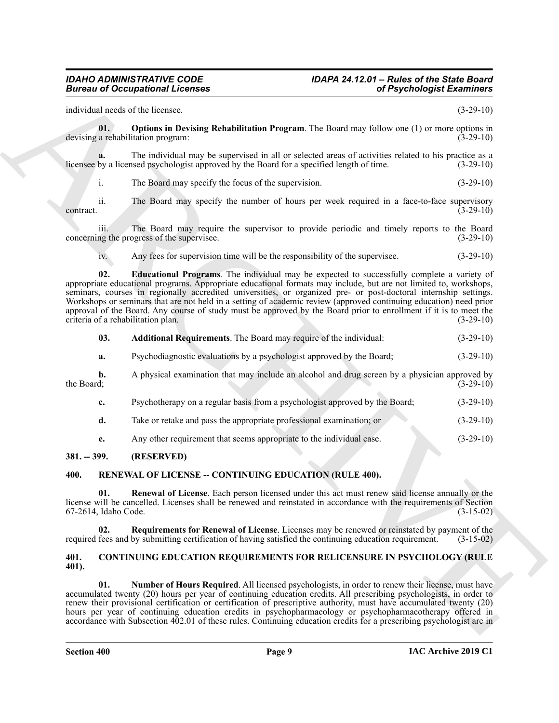### *IDAHO ADMINISTRATIVE CODE IDAPA 24.12.01 – Rules of the State Board*

individual needs of the licensee. (3-29-10)

<span id="page-8-7"></span>**01. Options in Devising Rehabilitation Program**. The Board may follow one (1) or more options in a rehabilitation program: (3-29-10) devising a rehabilitation program:

**a.** The individual may be supervised in all or selected areas of activities related to his practice as a by a licensed psychologist approved by the Board for a specified length of time. (3-29-10) licensee by a licensed psychologist approved by the Board for a specified length of time.

i. The Board may specify the focus of the supervision. (3-29-10)

ii. The Board may specify the number of hours per week required in a face-to-face supervisory  $\frac{3-29-10}{ }$ 

iii. The Board may require the supervisor to provide periodic and timely reports to the Board concerning the progress of the supervisee. (3-29-10)

<span id="page-8-6"></span>iv. Any fees for supervision time will be the responsibility of the supervisee. (3-29-10)

ARCHIVE **02. Educational Programs**. The individual may be expected to successfully complete a variety of appropriate educational programs. Appropriate educational formats may include, but are not limited to, workshops, seminars, courses in regionally accredited universities, or organized pre- or post-doctoral internship settings. Workshops or seminars that are not held in a setting of academic review (approved continuing education) need prior approval of the Board. Any course of study must be approved by the Board prior to enrollment if it is to meet the criteria of a rehabilitation plan. (3-29-10)

<span id="page-8-5"></span>

| 03. | <b>Additional Requirements.</b> The Board may require of the individual: | $(3-29-10)$ |
|-----|--------------------------------------------------------------------------|-------------|
|-----|--------------------------------------------------------------------------|-------------|

**a.** Psychodiagnostic evaluations by a psychologist approved by the Board; (3-29-10)

**b.** A physical examination that may include an alcohol and drug screen by a physician approved by the Board; (3-29-10) the Board; (3-29-10) (3-29-10)

- **c.** Psychotherapy on a regular basis from a psychologist approved by the Board;  $(3-29-10)$
- **d.** Take or retake and pass the appropriate professional examination; or (3-29-10)
- <span id="page-8-9"></span><span id="page-8-8"></span>**e.** Any other requirement that seems appropriate to the individual case. (3-29-10)

#### <span id="page-8-0"></span>**381. -- 399. (RESERVED)**

#### <span id="page-8-1"></span>**400. RENEWAL OF LICENSE -- CONTINUING EDUCATION (RULE 400).**

**01. Renewal of License**. Each person licensed under this act must renew said license annually or the license will be cancelled. Licenses shall be renewed and reinstated in accordance with the requirements of Section 67-2614, Idaho Code. (3-15-02)

<span id="page-8-10"></span>**02. Requirements for Renewal of License**. Licenses may be renewed or reinstated by payment of the required fees and by submitting certification of having satisfied the continuing education requirement. (3-15-02)

#### <span id="page-8-3"></span><span id="page-8-2"></span>**401. CONTINUING EDUCATION REQUIREMENTS FOR RELICENSURE IN PSYCHOLOGY (RULE 401).**

<span id="page-8-4"></span>**01. Number of Hours Required**. All licensed psychologists, in order to renew their license, must have accumulated twenty (20) hours per year of continuing education credits. All prescribing psychologists, in order to renew their provisional certification or certification of prescriptive authority, must have accumulated twenty (20) hours per year of continuing education credits in psychopharmacology or psychopharmacotherapy offered in accordance with Subsection 402.01 of these rules. Continuing education credits for a prescribing psychologist are in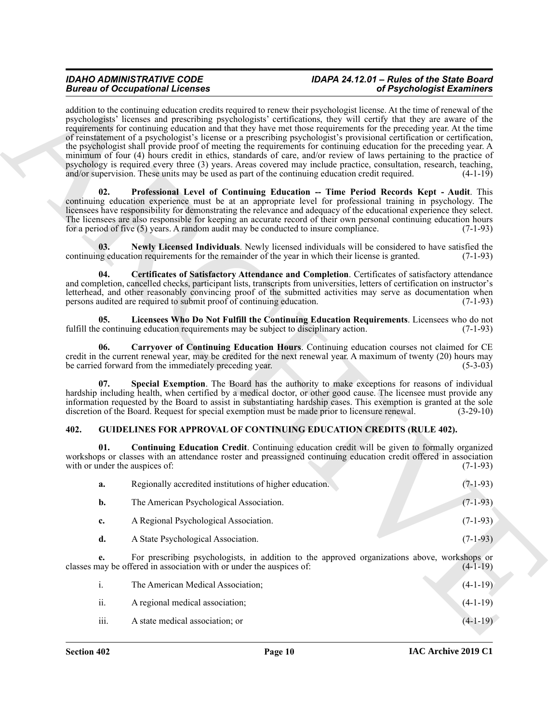## *IDAHO ADMINISTRATIVE CODE IDAPA 24.12.01 – Rules of the State Board*

Because of Occupation Heroice states and the system is the probably interest of Physiological Example, and the system is the system of the system in the system of the system is the system of the system of the system is th addition to the continuing education credits required to renew their psychologist license. At the time of renewal of the psychologists' licenses and prescribing psychologists' certifications, they will certify that they are aware of the requirements for continuing education and that they have met those requirements for the preceding year. At the time of reinstatement of a psychologist's license or a prescribing psychologist's provisional certification or certification, the psychologist shall provide proof of meeting the requirements for continuing education for the preceding year. A minimum of four (4) hours credit in ethics, standards of care, and/or review of laws pertaining to the practice of psychology is required every three (3) years. Areas covered may include practice, consultation, research, teaching, and/or supervision. These units may be used as part of the continuing education credit required.  $(4-1-19)$ 

<span id="page-9-5"></span>**02. Professional Level of Continuing Education -- Time Period Records Kept - Audit**. This continuing education experience must be at an appropriate level for professional training in psychology. The licensees have responsibility for demonstrating the relevance and adequacy of the educational experience they select. The licensees are also responsible for keeping an accurate record of their own personal continuing education hours for a period of five (5) years. A random audit may be conducted to insure compliance. (7-1-93)

<span id="page-9-4"></span>**03.** Newly Licensed Individuals. Newly licensed individuals will be considered to have satisfied the ng education requirements for the remainder of the year in which their license is granted. (7-1-93) continuing education requirements for the remainder of the year in which their license is granted.

<span id="page-9-2"></span>**04. Certificates of Satisfactory Attendance and Completion**. Certificates of satisfactory attendance and completion, cancelled checks, participant lists, transcripts from universities, letters of certification on instructor's letterhead, and other reasonably convincing proof of the submitted activities may serve as documentation when<br>persons audited are required to submit proof of continuing education. (7-1-93) persons audited are required to submit proof of continuing education.

<span id="page-9-3"></span>**05.** Licensees Who Do Not Fulfill the Continuing Education Requirements. Licensees who do not continuing education requirements may be subject to disciplinary action. (7-1-93) fulfill the continuing education requirements may be subject to disciplinary action.

<span id="page-9-1"></span>**06. Carryover of Continuing Education Hours**. Continuing education courses not claimed for CE credit in the current renewal year, may be credited for the next renewal year. A maximum of twenty (20) hours may be carried forward from the immediately preceding year. (5-3-03)

<span id="page-9-6"></span>Special Exemption. The Board has the authority to make exceptions for reasons of individual hardship including health, when certified by a medical doctor, or other good cause. The licensee must provide any information requested by the Board to assist in substantiating hardship cases. This exemption is granted at the sole discretion of the Board. Request for special exemption must be made prior to licensure renewal. (3-29-10)

#### <span id="page-9-7"></span><span id="page-9-0"></span>**402. GUIDELINES FOR APPROVAL OF CONTINUING EDUCATION CREDITS (RULE 402).**

**01. Continuing Education Credit**. Continuing education credit will be given to formally organized workshops or classes with an attendance roster and preassigned continuing education credit offered in association with or under the auspices of: (7-1-93) with or under the auspices of:

<span id="page-9-8"></span>

| a. | Regionally accredited institutions of higher education. | $(7-1-93)$ |
|----|---------------------------------------------------------|------------|
| b. | The American Psychological Association.                 | $(7-1-93)$ |
| c. | A Regional Psychological Association.                   | $(7-1-93)$ |
| d. | A State Psychological Association.                      | $(7-1-93)$ |

**e.** For prescribing psychologists, in addition to the approved organizations above, workshops or classes may be offered in association with or under the auspices of: (4-1-19)

| $\overline{1}$ . | The American Medical Association; | $(4-1-19)$ |
|------------------|-----------------------------------|------------|
| ii.              | A regional medical association;   | $(4-1-19)$ |
| iii.             | A state medical association; or   | $(4-1-19)$ |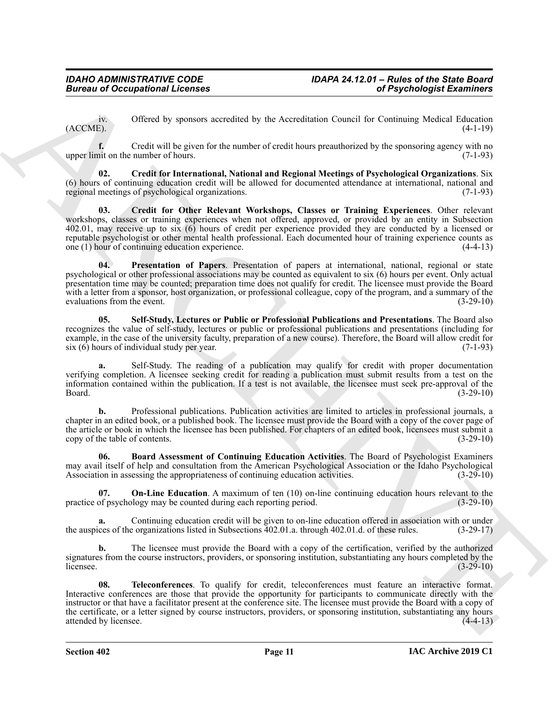iv. Offered by sponsors accredited by the Accreditation Council for Continuing Medical Education  $(ACCME)$ .  $(4-1-19)$ 

**f.** Credit will be given for the number of credit hours preauthorized by the sponsoring agency with no upper limit on the number of hours. (7-1-93)

<span id="page-10-2"></span><span id="page-10-1"></span>**02. Credit for International, National and Regional Meetings of Psychological Organizations**. Six (6) hours of continuing education credit will be allowed for documented attendance at international, national and regional meetings of psychological organizations. (7-1-93)

Given to Occupational Licenses<br>
(ACC)<sup>86</sup><sub>2</sub>. Oklevel by pynnos secredled by the Acceptation Central of Cosminang Medical Registers<br>
(ACC)<sup>86</sup><sub>2</sub>. Occupations in the piece for the main and proposed tracel to Cosminang Med **03. Credit for Other Relevant Workshops, Classes or Training Experiences**. Other relevant workshops, classes or training experiences when not offered, approved, or provided by an entity in Subsection 402.01, may receive up to six (6) hours of credit per experience provided they are conducted by a licensed or reputable psychologist or other mental health professional. Each documented hour of training experience counts as one (1) hour of continuing education experience. (4-4-13)

<span id="page-10-4"></span>**04. Presentation of Papers**. Presentation of papers at international, national, regional or state psychological or other professional associations may be counted as equivalent to six (6) hours per event. Only actual presentation time may be counted; preparation time does not qualify for credit. The licensee must provide the Board with a letter from a sponsor, host organization, or professional colleague, copy of the program, and a summary of the evaluations from the event. (3-29-10) evaluations from the event.

<span id="page-10-5"></span>**05. Self-Study, Lectures or Public or Professional Publications and Presentations**. The Board also recognizes the value of self-study, lectures or public or professional publications and presentations (including for example, in the case of the university faculty, preparation of a new course). Therefore, the Board will allow credit for six (6) hours of individual study per year. (7-1-93)

**a.** Self-Study. The reading of a publication may qualify for credit with proper documentation verifying completion. A licensee seeking credit for reading a publication must submit results from a test on the information contained within the publication. If a test is not available, the licensee must seek pre-approval of the Board. (3-29-10)

**b.** Professional publications. Publication activities are limited to articles in professional journals, a chapter in an edited book, or a published book. The licensee must provide the Board with a copy of the cover page of the article or book in which the licensee has been published. For chapters of an edited book, licensees must submit a copy of the table of contents. (3-29-10)

<span id="page-10-0"></span>**06. Board Assessment of Continuing Education Activities**. The Board of Psychologist Examiners may avail itself of help and consultation from the American Psychological Association or the Idaho Psychological Association in assessing the appropriateness of continuing education activities. (3-29-10)

<span id="page-10-3"></span>**07. On-Line Education**. A maximum of ten (10) on-line continuing education hours relevant to the of psychology may be counted during each reporting period. (3-29-10) practice of psychology may be counted during each reporting period.

**a.** Continuing education credit will be given to on-line education offered in association with or under the auspices of the organizations listed in Subsections 402.01.a. through 402.01.d. of these rules. (3-29-17)

**b.** The licensee must provide the Board with a copy of the certification, verified by the authorized signatures from the course instructors, providers, or sponsoring institution, substantiating any hours completed by the licensee. (3-29-10) licensee.  $(3-29-10)$ 

<span id="page-10-6"></span>**08. Teleconferences**. To qualify for credit, teleconferences must feature an interactive format. Interactive conferences are those that provide the opportunity for participants to communicate directly with the instructor or that have a facilitator present at the conference site. The licensee must provide the Board with a copy of the certificate, or a letter signed by course instructors, providers, or sponsoring institution, substantiating any hours attended by licensee. (4-4-13)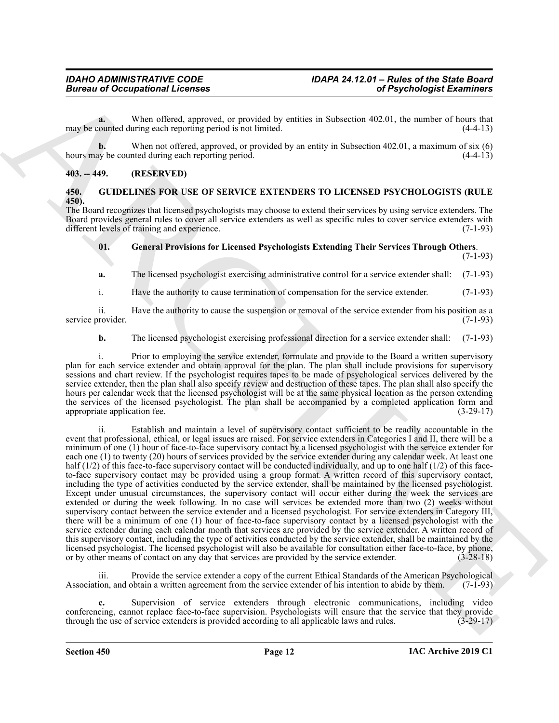**a.** When offered, approved, or provided by entities in Subsection 402.01, the number of hours that may be counted during each reporting period is not limited. (4-4-13)

**b.** When not offered, approved, or provided by an entity in Subsection 402.01, a maximum of six (6) hours may be counted during each reporting period. (4-4-13)

#### <span id="page-11-0"></span>**403. -- 449. (RESERVED)**

#### <span id="page-11-2"></span><span id="page-11-1"></span>**450. GUIDELINES FOR USE OF SERVICE EXTENDERS TO LICENSED PSYCHOLOGISTS (RULE 450).**

The Board recognizes that licensed psychologists may choose to extend their services by using service extenders. The Board provides general rules to cover all service extenders as well as specific rules to cover service extenders with different levels of training and experience. (7-1-93)

#### <span id="page-11-3"></span>**01. General Provisions for Licensed Psychologists Extending Their Services Through Others**. (7-1-93)

**a.** The licensed psychologist exercising administrative control for a service extender shall: (7-1-93)

i. Have the authority to cause termination of compensation for the service extender. (7-1-93)

ii. Have the authority to cause the suspension or removal of the service extender from his position as a service provider. (7-1-93)

**b.** The licensed psychologist exercising professional direction for a service extender shall: (7-1-93)

i. Prior to employing the service extender, formulate and provide to the Board a written supervisory plan for each service extender and obtain approval for the plan. The plan shall include provisions for supervisory sessions and chart review. If the psychologist requires tapes to be made of psychological services delivered by the service extender, then the plan shall also specify review and destruction of these tapes. The plan shall also specify the hours per calendar week that the licensed psychologist will be at the same physical location as the person extending the services of the licensed psychologist. The plan shall be accompanied by a completed application form and appropriate application fee. (3-29-17)

**Example 20** Compatible 20 Compatible 20 Compatible 20 Compatible 20 Compatible 20 Compatible 20 Compatible 20 Compatible 20 Compatible 20 Compatible 20 Compatible 20 Compatible 20 Compatible 20 Compatible 20 Compatible 2 ii. Establish and maintain a level of supervisory contact sufficient to be readily accountable in the event that professional, ethical, or legal issues are raised. For service extenders in Categories I and II, there will be a minimum of one (1) hour of face-to-face supervisory contact by a licensed psychologist with the service extender for each one (1) to twenty (20) hours of services provided by the service extender during any calendar week. At least one half  $(1/2)$  of this face-to-face supervisory contact will be conducted individually, and up to one half  $(1/2)$  of this faceto-face supervisory contact may be provided using a group format. A written record of this supervisory contact, including the type of activities conducted by the service extender, shall be maintained by the licensed psychologist. Except under unusual circumstances, the supervisory contact will occur either during the week the services are extended or during the week following. In no case will services be extended more than two (2) weeks without supervisory contact between the service extender and a licensed psychologist. For service extenders in Category III, there will be a minimum of one (1) hour of face-to-face supervisory contact by a licensed psychologist with the service extender during each calendar month that services are provided by the service extender. A written record of this supervisory contact, including the type of activities conducted by the service extender, shall be maintained by the licensed psychologist. The licensed psychologist will also be available for consultation either face-to-face, by phone, or by other means of contact on any day that services are provided by the service extender. (3-28-18) or by other means of contact on any day that services are provided by the service extender.

iii. Provide the service extender a copy of the current Ethical Standards of the American Psychological Association, and obtain a written agreement from the service extender of his intention to abide by them. (7-1-93)

**c.** Supervision of service extenders through electronic communications, including video conferencing, cannot replace face-to-face supervision. Psychologists will ensure that the service that they provide through the use of service extenders is provided according to all applicable laws and rules. (3-29-17)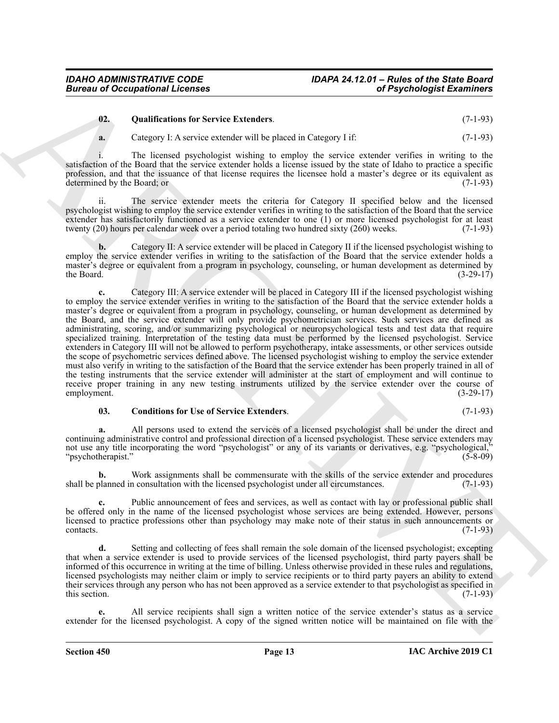#### <span id="page-12-1"></span>**02. Qualifications for Service Extenders**. (7-1-93)

**a.** Category I: A service extender will be placed in Category I if: (7-1-93)

i. The licensed psychologist wishing to employ the service extender verifies in writing to the satisfaction of the Board that the service extender holds a license issued by the state of Idaho to practice a specific profession, and that the issuance of that license requires the licensee hold a master's degree or its equivalent as determined by the Board; or (7-1-93)

ii. The service extender meets the criteria for Category II specified below and the licensed psychologist wishing to employ the service extender verifies in writing to the satisfaction of the Board that the service extender has satisfactorily functioned as a service extender to one (1) or more licensed psychologist for at least twenty (20) hours per calendar week over a period totaling two hundred sixty (260) weeks. (7-1-93)

**b.** Category II: A service extender will be placed in Category II if the licensed psychologist wishing to employ the service extender verifies in writing to the satisfaction of the Board that the service extender holds a master's degree or equivalent from a program in psychology, counseling, or human development as determined by the Board.  $(3-29-17)$ 

Given to Occupational Leonines<br>
(a) Compatibilities for Severe Extenders.<br>
(a) Compatibilities for Severe Extenders.<br>
(b) Compatibilities of the December Severe Extenders.<br>
(b) Compatibilities of the December Severe Exten **c.** Category III: A service extender will be placed in Category III if the licensed psychologist wishing to employ the service extender verifies in writing to the satisfaction of the Board that the service extender holds a master's degree or equivalent from a program in psychology, counseling, or human development as determined by the Board, and the service extender will only provide psychometrician services. Such services are defined as administrating, scoring, and/or summarizing psychological or neuropsychological tests and test data that require specialized training. Interpretation of the testing data must be performed by the licensed psychologist. Service extenders in Category III will not be allowed to perform psychotherapy, intake assessments, or other services outside the scope of psychometric services defined above. The licensed psychologist wishing to employ the service extender must also verify in writing to the satisfaction of the Board that the service extender has been properly trained in all of the testing instruments that the service extender will administer at the start of employment and will continue to receive proper training in any new testing instruments utilized by the service extender over the course of employment. (3-29-17) employment. (3-29-17)

#### <span id="page-12-0"></span>**03. Conditions for Use of Service Extenders**. (7-1-93)

**a.** All persons used to extend the services of a licensed psychologist shall be under the direct and continuing administrative control and professional direction of a licensed psychologist. These service extenders may not use any title incorporating the word "psychologist" or any of its variants or derivatives, e.g. "psychological," "psychotherapist." (5-8-09)

**b.** Work assignments shall be commensurate with the skills of the service extender and procedures shall be planned in consultation with the licensed psychologist under all circumstances. (7-1-93)

**c.** Public announcement of fees and services, as well as contact with lay or professional public shall be offered only in the name of the licensed psychologist whose services are being extended. However, persons licensed to practice professions other than psychology may make note of their status in such announcements or  $\text{constants.}$  (7-1-93)

**d.** Setting and collecting of fees shall remain the sole domain of the licensed psychologist; excepting that when a service extender is used to provide services of the licensed psychologist, third party payers shall be informed of this occurrence in writing at the time of billing. Unless otherwise provided in these rules and regulations, licensed psychologists may neither claim or imply to service recipients or to third party payers an ability to extend their services through any person who has not been approved as a service extender to that psychologist as specified in this section.  $(7-1-93)$ 

**e.** All service recipients shall sign a written notice of the service extender's status as a service extender for the licensed psychologist. A copy of the signed written notice will be maintained on file with the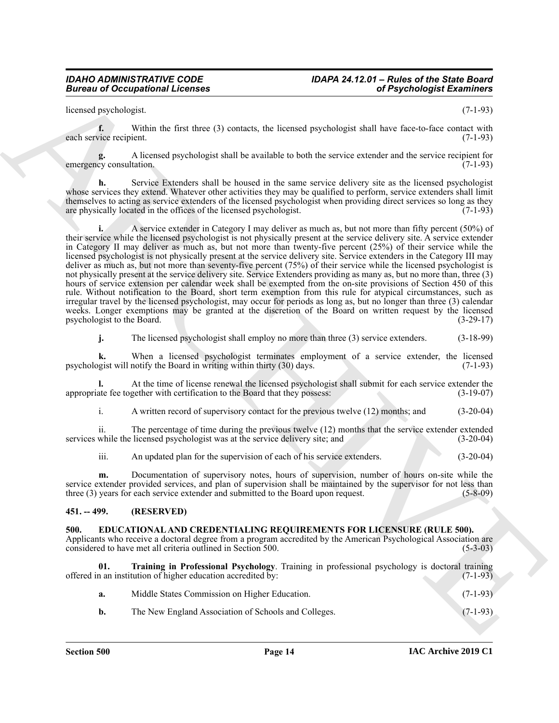### *IDAHO ADMINISTRATIVE CODE IDAPA 24.12.01 – Rules of the State Board*

licensed psychologist. (7-1-93)

**f.** Within the first three (3) contacts, the licensed psychologist shall have face-to-face contact with each service recipient. (7-1-93)

**g.** A licensed psychologist shall be available to both the service extender and the service recipient for cy consultation. emergency consultation.

**h.** Service Extenders shall be housed in the same service delivery site as the licensed psychologist whose services they extend. Whatever other activities they may be qualified to perform, service extenders shall limit themselves to acting as service extenders of the licensed psychologist when providing direct services so long as they are physically located in the offices of the licensed psychologist.  $(7-1-93)$ 

Bureau of Occupations I Licenses<br>
have a possible state for the state and the state and the state and the state and the state and the state and the state and the state and the state and the state and the state and the sta **i.** A service extender in Category I may deliver as much as, but not more than fifty percent (50%) of their service while the licensed psychologist is not physically present at the service delivery site. A service extender in Category II may deliver as much as, but not more than twenty-five percent (25%) of their service while the licensed psychologist is not physically present at the service delivery site. Service extenders in the Category III may deliver as much as, but not more than seventy-five percent (75%) of their service while the licensed psychologist is not physically present at the service delivery site. Service Extenders providing as many as, but no more than, three (3) hours of service extension per calendar week shall be exempted from the on-site provisions of Section 450 of this rule. Without notification to the Board, short term exemption from this rule for atypical circumstances, such as irregular travel by the licensed psychologist, may occur for periods as long as, but no longer than three (3) calendar weeks. Longer exemptions may be granted at the discretion of the Board on written request by the licensed psychologist to the Board. (3-29-17)

**j.** The licensed psychologist shall employ no more than three (3) service extenders. (3-18-99)

**k.** When a licensed psychologist terminates employment of a service extender, the licensed psychologist will notify the Board in writing within thirty (30) days. (7-1-93)

**l.** At the time of license renewal the licensed psychologist shall submit for each service extender the appropriate fee together with certification to the Board that they possess: (3-19-07)

i. A written record of supervisory contact for the previous twelve (12) months; and (3-20-04)

ii. The percentage of time during the previous twelve (12) months that the service extender extended services while the licensed psychologist was at the service delivery site; and (3-20-04)

iii. An updated plan for the supervision of each of his service extenders. (3-20-04)

**m.** Documentation of supervisory notes, hours of supervision, number of hours on-site while the service extender provided services, and plan of supervision shall be maintained by the supervisor for not less than three (3) years for each service extender and submitted to the Board upon request. (5-8-09)

#### <span id="page-13-0"></span>**451. -- 499. (RESERVED)**

#### <span id="page-13-2"></span><span id="page-13-1"></span>**500. EDUCATIONAL AND CREDENTIALING REQUIREMENTS FOR LICENSURE (RULE 500).**

Applicants who receive a doctoral degree from a program accredited by the American Psychological Association are considered to have met all criteria outlined in Section 500. (5-3-03) considered to have met all criteria outlined in Section 500.

**01. Training in Professional Psychology**. Training in professional psychology is doctoral training offered in an institution of higher education accredited by: (7-1-93)

<span id="page-13-3"></span>

| Middle States Commission on Higher Education. | $(7-1-93)$ |
|-----------------------------------------------|------------|
|                                               |            |

**b.** The New England Association of Schools and Colleges. (7-1-93)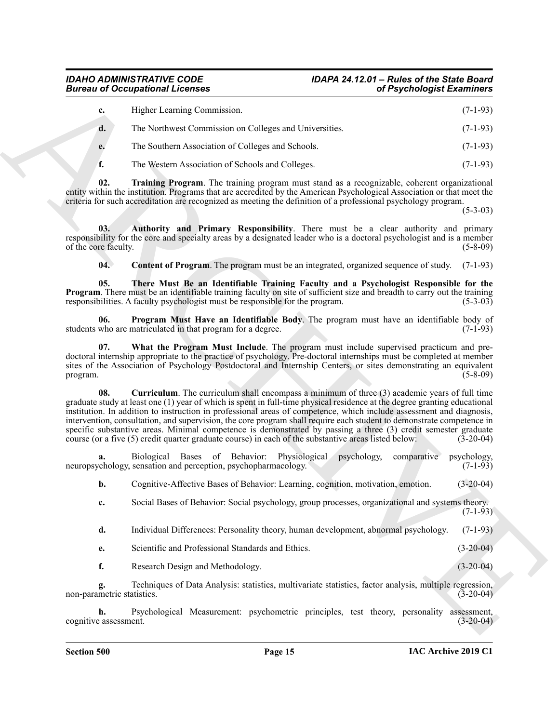<span id="page-14-5"></span><span id="page-14-4"></span><span id="page-14-1"></span><span id="page-14-0"></span>

|                                  | <b>Bureau of Occupational Licenses</b><br>of Psychologist Examiners                                                                                                                                                                                                                                                                                                                                                                                                                                                                                                                                                                                                                                   |                            |
|----------------------------------|-------------------------------------------------------------------------------------------------------------------------------------------------------------------------------------------------------------------------------------------------------------------------------------------------------------------------------------------------------------------------------------------------------------------------------------------------------------------------------------------------------------------------------------------------------------------------------------------------------------------------------------------------------------------------------------------------------|----------------------------|
| c.                               | Higher Learning Commission.                                                                                                                                                                                                                                                                                                                                                                                                                                                                                                                                                                                                                                                                           | $(7-1-93)$                 |
| d.                               | The Northwest Commission on Colleges and Universities.                                                                                                                                                                                                                                                                                                                                                                                                                                                                                                                                                                                                                                                | $(7-1-93)$                 |
| e.                               | The Southern Association of Colleges and Schools.                                                                                                                                                                                                                                                                                                                                                                                                                                                                                                                                                                                                                                                     | $(7-1-93)$                 |
| f.                               | The Western Association of Schools and Colleges.                                                                                                                                                                                                                                                                                                                                                                                                                                                                                                                                                                                                                                                      | $(7-1-93)$                 |
| 02.                              | Training Program. The training program must stand as a recognizable, coherent organizational<br>entity within the institution. Programs that are accredited by the American Psychological Association or that meet the<br>criteria for such accreditation are recognized as meeting the definition of a professional psychology program.                                                                                                                                                                                                                                                                                                                                                              | $(5-3-03)$                 |
| 03.<br>of the core faculty.      | Authority and Primary Responsibility. There must be a clear authority and primary<br>responsibility for the core and specialty areas by a designated leader who is a doctoral psychologist and is a member                                                                                                                                                                                                                                                                                                                                                                                                                                                                                            | $(5-8-09)$                 |
| 04.                              | <b>Content of Program</b> . The program must be an integrated, organized sequence of study.                                                                                                                                                                                                                                                                                                                                                                                                                                                                                                                                                                                                           | $(7-1-93)$                 |
| 05.                              | There Must Be an Identifiable Training Faculty and a Psychologist Responsible for the<br><b>Program.</b> There must be an identifiable training faculty on site of sufficient size and breadth to carry out the training<br>responsibilities. A faculty psychologist must be responsible for the program.                                                                                                                                                                                                                                                                                                                                                                                             | $(5-3-03)$                 |
| 06.                              | Program Must Have an Identifiable Body. The program must have an identifiable body of<br>students who are matriculated in that program for a degree.                                                                                                                                                                                                                                                                                                                                                                                                                                                                                                                                                  | $(7-1-93)$                 |
| 07.<br>program.                  | What the Program Must Include. The program must include supervised practicum and pre-<br>doctoral internship appropriate to the practice of psychology. Pre-doctoral internships must be completed at member<br>sites of the Association of Psychology Postdoctoral and Internship Centers, or sites demonstrating an equivalent                                                                                                                                                                                                                                                                                                                                                                      | $(5-8-09)$                 |
| 08.                              | Curriculum. The curriculum shall encompass a minimum of three (3) academic years of full time<br>graduate study at least one (1) year of which is spent in full-time physical residence at the degree granting educational<br>institution. In addition to instruction in professional areas of competence, which include assessment and diagnosis,<br>intervention, consultation, and supervision, the core program shall require each student to demonstrate competence in<br>specific substantive areas. Minimal competence is demonstrated by passing a three (3) credit semester graduate<br>course (or a five (5) credit quarter graduate course) in each of the substantive areas listed below: | $(3-20-04)$                |
| a.                               | Biological Bases of Behavior: Physiological psychology,<br>comparative<br>neuropsychology, sensation and perception, psychopharmacology.                                                                                                                                                                                                                                                                                                                                                                                                                                                                                                                                                              | psychology,<br>$(7-1-93)$  |
| b.                               | Cognitive-Affective Bases of Behavior: Learning, cognition, motivation, emotion.                                                                                                                                                                                                                                                                                                                                                                                                                                                                                                                                                                                                                      | $(3-20-04)$                |
| c.                               | Social Bases of Behavior: Social psychology, group processes, organizational and systems theory.                                                                                                                                                                                                                                                                                                                                                                                                                                                                                                                                                                                                      | $(7-1-93)$                 |
| d.                               | Individual Differences: Personality theory, human development, abnormal psychology.                                                                                                                                                                                                                                                                                                                                                                                                                                                                                                                                                                                                                   | $(7-1-93)$                 |
| е.                               | Scientific and Professional Standards and Ethics.                                                                                                                                                                                                                                                                                                                                                                                                                                                                                                                                                                                                                                                     | $(3-20-04)$                |
| f.                               | Research Design and Methodology.                                                                                                                                                                                                                                                                                                                                                                                                                                                                                                                                                                                                                                                                      | $(3-20-04)$                |
| g.<br>non-parametric statistics. | Techniques of Data Analysis: statistics, multivariate statistics, factor analysis, multiple regression,                                                                                                                                                                                                                                                                                                                                                                                                                                                                                                                                                                                               | $(3-20-04)$                |
| h.                               | Psychological Measurement: psychometric principles, test theory, personality<br>cognitive assessment.                                                                                                                                                                                                                                                                                                                                                                                                                                                                                                                                                                                                 | assessment,<br>$(3-20-04)$ |

- <span id="page-14-6"></span><span id="page-14-3"></span><span id="page-14-2"></span>**d.** Individual Differences: Personality theory, human development, abnormal psychology. (7-1-93)
- **e.** Scientific and Professional Standards and Ethics. (3-20-04)
- **f.** Research Design and Methodology. (3-20-04)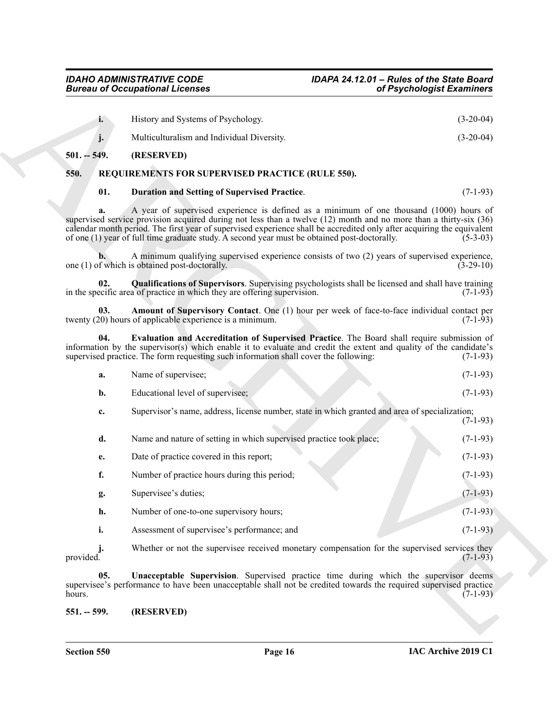<span id="page-15-7"></span><span id="page-15-5"></span><span id="page-15-4"></span><span id="page-15-3"></span><span id="page-15-1"></span><span id="page-15-0"></span>

|               | <b>Bureau of Occupational Licenses</b>                                                                                                                                                                                                                                                                                                                                                                                                 | of Psychologist Examiners              |
|---------------|----------------------------------------------------------------------------------------------------------------------------------------------------------------------------------------------------------------------------------------------------------------------------------------------------------------------------------------------------------------------------------------------------------------------------------------|----------------------------------------|
| i.            | History and Systems of Psychology.                                                                                                                                                                                                                                                                                                                                                                                                     | $(3-20-04)$                            |
| j.            | Multiculturalism and Individual Diversity.                                                                                                                                                                                                                                                                                                                                                                                             | $(3-20-04)$                            |
| $501. - 549.$ | (RESERVED)                                                                                                                                                                                                                                                                                                                                                                                                                             |                                        |
| 550.          | REQUIREMENTS FOR SUPERVISED PRACTICE (RULE 550).                                                                                                                                                                                                                                                                                                                                                                                       |                                        |
| 01.           | <b>Duration and Setting of Supervised Practice.</b>                                                                                                                                                                                                                                                                                                                                                                                    | $(7-1-93)$                             |
| a.            | A year of supervised experience is defined as a minimum of one thousand (1000) hours of<br>supervised service provision acquired during not less than a twelve (12) month and no more than a thirty-six (36)<br>calendar month period. The first year of supervised experience shall be accredited only after acquiring the equivalent<br>of one (1) year of full time graduate study. A second year must be obtained post-doctorally. | $(5-3-03)$                             |
|               | A minimum qualifying supervised experience consists of two (2) years of supervised experience,<br>one (1) of which is obtained post-doctorally.                                                                                                                                                                                                                                                                                        | $(3-29-10)$                            |
| 02.           | <b>Qualifications of Supervisors</b> . Supervising psychologists shall be licensed and shall have training<br>in the specific area of practice in which they are offering supervision.                                                                                                                                                                                                                                                 | $(7-1-93)$                             |
| 03.           | Amount of Supervisory Contact. One (1) hour per week of face-to-face individual contact per<br>twenty (20) hours of applicable experience is a minimum.                                                                                                                                                                                                                                                                                | $(7-1-93)$                             |
| 04.           | Evaluation and Accreditation of Supervised Practice. The Board shall require submission of<br>information by the supervisor(s) which enable it to evaluate and credit the extent and quality of the candidate's<br>supervised practice. The form requesting such information shall cover the following:                                                                                                                                | $(7-1-93)$                             |
| a.            | Name of supervisee;                                                                                                                                                                                                                                                                                                                                                                                                                    | $(7-1-93)$                             |
| b.            | Educational level of supervisee;                                                                                                                                                                                                                                                                                                                                                                                                       | $(7-1-93)$                             |
| c.            | Supervisor's name, address, license number, state in which granted and area of specialization;                                                                                                                                                                                                                                                                                                                                         | $(7-1-93)$                             |
| d.            | Name and nature of setting in which supervised practice took place;                                                                                                                                                                                                                                                                                                                                                                    | $(7-1-93)$                             |
| e.            | Date of practice covered in this report;                                                                                                                                                                                                                                                                                                                                                                                               | $(7-1-93)$                             |
| f.            | Number of practice hours during this period;                                                                                                                                                                                                                                                                                                                                                                                           | $(7-1-93)$                             |
| g.            | Supervisee's duties;                                                                                                                                                                                                                                                                                                                                                                                                                   | $(7-1-93)$                             |
|               | Number of one-to-one supervisory hours;                                                                                                                                                                                                                                                                                                                                                                                                | $(7-1-93)$                             |
| h.            |                                                                                                                                                                                                                                                                                                                                                                                                                                        |                                        |
| i.            | Assessment of supervisee's performance; and                                                                                                                                                                                                                                                                                                                                                                                            |                                        |
| provided.     | Whether or not the supervisee received monetary compensation for the supervised services they                                                                                                                                                                                                                                                                                                                                          |                                        |
| 05.<br>hours. | <b>Unacceptable Supervision.</b> Supervised practice time during which the supervisor deems<br>supervisee's performance to have been unacceptable shall not be credited towards the required supervised practice                                                                                                                                                                                                                       | $(7-1-93)$<br>$(7-1-93)$<br>$(7-1-93)$ |

<span id="page-15-8"></span><span id="page-15-6"></span><span id="page-15-2"></span>**j.** Whether or not the supervisee received monetary compensation for the supervised services they provided. (7-1-93) provided.  $(7-1-93)$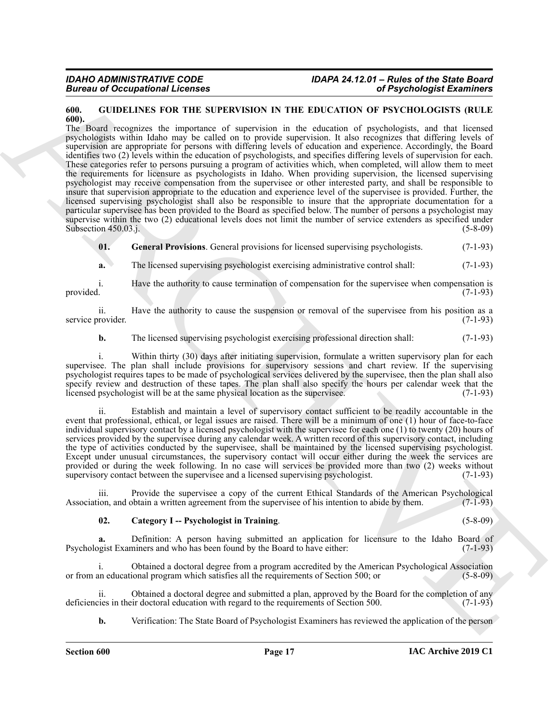#### <span id="page-16-1"></span><span id="page-16-0"></span>**600. GUIDELINES FOR THE SUPERVISION IN THE EDUCATION OF PSYCHOLOGISTS (RULE 600).**

Given to Conception of Lebens<br>
(a)  $\alpha$  (Figure distribution of Paychologia Examine)<br>
(a) (a)  $\alpha$  (Figure distribution of Paychologia Camine)<br>
The boost sequence of the state of the state of the state of the state of the The Board recognizes the importance of supervision in the education of psychologists, and that licensed psychologists within Idaho may be called on to provide supervision. It also recognizes that differing levels of supervision are appropriate for persons with differing levels of education and experience. Accordingly, the Board identifies two (2) levels within the education of psychologists, and specifies differing levels of supervision for each. These categories refer to persons pursuing a program of activities which, when completed, will allow them to meet the requirements for licensure as psychologists in Idaho. When providing supervision, the licensed supervising psychologist may receive compensation from the supervisee or other interested party, and shall be responsible to insure that supervision appropriate to the education and experience level of the supervisee is provided. Further, the licensed supervising psychologist shall also be responsible to insure that the appropriate documentation for a particular supervisee has been provided to the Board as specified below. The number of persons a psychologist may supervise within the two (2) educational levels does not limit the number of service extenders as specified under Subsection 450.03.j. (5-8-09)

<span id="page-16-3"></span>**01. General Provisions**. General provisions for licensed supervising psychologists. (7-1-93)

**a.** The licensed supervising psychologist exercising administrative control shall:  $(7-1-93)$ 

i. Have the authority to cause termination of compensation for the supervisee when compensation is provided. (7-1-93)

ii. Have the authority to cause the suspension or removal of the supervisee from his position as a service provider. (7-1-93)

**b.** The licensed supervising psychologist exercising professional direction shall: (7-1-93)

i. Within thirty (30) days after initiating supervision, formulate a written supervisory plan for each supervisee. The plan shall include provisions for supervisory sessions and chart review. If the supervising psychologist requires tapes to be made of psychological services delivered by the supervisee, then the plan shall also specify review and destruction of these tapes. The plan shall also specify the hours per calendar week that the licensed psychologist will be at the same physical location as the supervisee. (7-1-93)

ii. Establish and maintain a level of supervisory contact sufficient to be readily accountable in the event that professional, ethical, or legal issues are raised. There will be a minimum of one (1) hour of face-to-face individual supervisory contact by a licensed psychologist with the supervisee for each one (1) to twenty (20) hours of services provided by the supervisee during any calendar week. A written record of this supervisory contact, including the type of activities conducted by the supervisee, shall be maintained by the licensed supervising psychologist. Except under unusual circumstances, the supervisory contact will occur either during the week the services are provided or during the week following. In no case will services be provided more than two (2) weeks without supervisory contact between the supervisee and a licensed supervising psychologist. (7-1-93)

iii. Provide the supervisee a copy of the current Ethical Standards of the American Psychological ion, and obtain a written agreement from the supervisee of his intention to abide by them. (7-1-93) Association, and obtain a written agreement from the supervisee of his intention to abide by them.

#### <span id="page-16-2"></span>**02. Category I -- Psychologist in Training**. (5-8-09)

**a.** Definition: A person having submitted an application for licensure to the Idaho Board of Psychologist Examiners and who has been found by the Board to have either: (7-1-93)

i. Obtained a doctoral degree from a program accredited by the American Psychological Association or from an educational program which satisfies all the requirements of Section 500; or (5-8-09)

ii. Obtained a doctoral degree and submitted a plan, approved by the Board for the completion of any vies in their doctoral education with regard to the requirements of Section 500. (7-1-93) deficiencies in their doctoral education with regard to the requirements of Section 500.

**b.** Verification: The State Board of Psychologist Examiners has reviewed the application of the person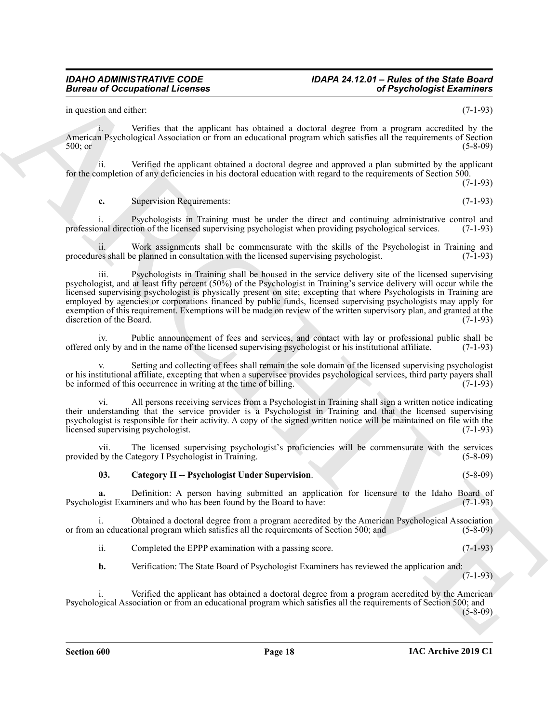### *IDAHO ADMINISTRATIVE CODE IDAPA 24.12.01 – Rules of the State Board*

in question and either: (7-1-93)

i. Verifies that the applicant has obtained a doctoral degree from a program accredited by the American Psychological Association or from an educational program which satisfies all the requirements of Section 500; or (5-8-09) 500; or (5-8-09)

ii. Verified the applicant obtained a doctoral degree and approved a plan submitted by the applicant for the completion of any deficiencies in his doctoral education with regard to the requirements of Section 500.

(7-1-93)

**c.** Supervision Requirements: (7-1-93)

i. Psychologists in Training must be under the direct and continuing administrative control and professional direction of the licensed supervising psychologist when providing psychological services. (7-1-93)

ii. Work assignments shall be commensurate with the skills of the Psychologist in Training and es shall be planned in consultation with the licensed supervising psychologist. (7-1-93) procedures shall be planned in consultation with the licensed supervising psychologist.

Bureau of Occupations I Licenses<br>
in consistential develope in the specifical state of the specifical state of the specifical state of the specifical state of the specifical state of the specifical state of the specifical iii. Psychologists in Training shall be housed in the service delivery site of the licensed supervising psychologist, and at least fifty percent (50%) of the Psychologist in Training's service delivery will occur while the licensed supervising psychologist is physically present on site; excepting that where Psychologists in Training are employed by agencies or corporations financed by public funds, licensed supervising psychologists may apply for exemption of this requirement. Exemptions will be made on review of the written supervisory plan, and granted at the discretion of the Board. (7-1-93)

iv. Public announcement of fees and services, and contact with lay or professional public shall be offered only by and in the name of the licensed supervising psychologist or his institutional affiliate. (7-1-93)

Setting and collecting of fees shall remain the sole domain of the licensed supervising psychologist or his institutional affiliate, excepting that when a supervisee provides psychological services, third party payers shall<br>be informed of this occurrence in writing at the time of billing. (7-1-93) be informed of this occurrence in writing at the time of billing.

vi. All persons receiving services from a Psychologist in Training shall sign a written notice indicating their understanding that the service provider is a Psychologist in Training and that the licensed supervising psychologist is responsible for their activity. A copy of the signed written notice will be maintained on file with the licensed supervising psychologist. (7-1-93)

vii. The licensed supervising psychologist's proficiencies will be commensurate with the services provided by the Category I Psychologist in Training. (5-8-09)

#### <span id="page-17-0"></span>**03. Category II -- Psychologist Under Supervision**. (5-8-09)

**a.** Definition: A person having submitted an application for licensure to the Idaho Board of gist Examiners and who has been found by the Board to have: (7-1-93) Psychologist Examiners and who has been found by the Board to have:

i. Obtained a doctoral degree from a program accredited by the American Psychological Association or from an educational program which satisfies all the requirements of Section 500; and (5-8-09)

ii. Completed the EPPP examination with a passing score. (7-1-93)

**b.** Verification: The State Board of Psychologist Examiners has reviewed the application and:

(7-1-93)

Verified the applicant has obtained a doctoral degree from a program accredited by the American Psychological Association or from an educational program which satisfies all the requirements of Section 500; and (5-8-09)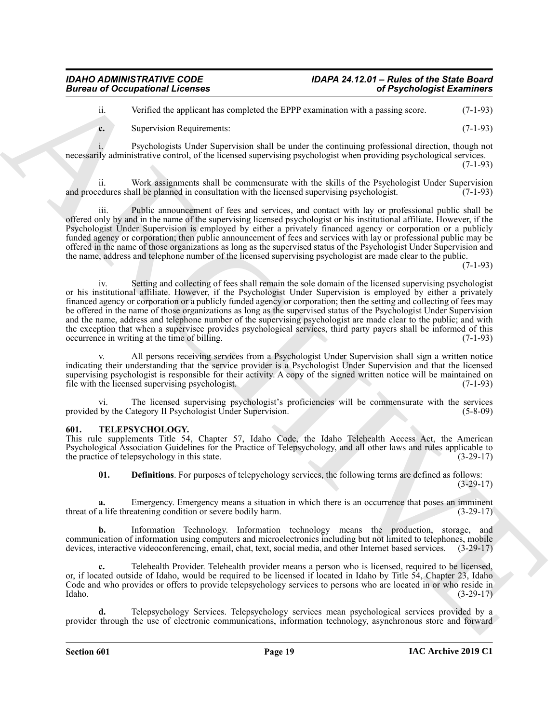#### *IDAHO ADMINISTRATIVE CODE IDAPA 24.12.01 – Rules of the State Board Bureau of Occupational Licenses*

ii. Verified the applicant has completed the EPPP examination with a passing score. (7-1-93)

**c.** Supervision Requirements: (7-1-93)

i. Psychologists Under Supervision shall be under the continuing professional direction, though not necessarily administrative control, of the licensed supervising psychologist when providing psychological services. (7-1-93)

ii. Work assignments shall be commensurate with the skills of the Psychologist Under Supervision and procedures shall be planned in consultation with the licensed supervising psychologist. (7-1-93)

iii. Public announcement of fees and services, and contact with lay or professional public shall be offered only by and in the name of the supervising licensed psychologist or his institutional affiliate. However, if the Psychologist Under Supervision is employed by either a privately financed agency or corporation or a publicly funded agency or corporation; then public announcement of fees and services with lay or professional public may be offered in the name of those organizations as long as the supervised status of the Psychologist Under Supervision and the name, address and telephone number of the licensed supervising psychologist are made clear to the public.

(7-1-93)

Given to Occupational Licensies<br>
which depends the start of Psychologial Externios (a)<br>  $\approx$  Neurol Access the two-poles the start of the start of the start of the start of the start of the start of the start of the start iv. Setting and collecting of fees shall remain the sole domain of the licensed supervising psychologist or his institutional affiliate. However, if the Psychologist Under Supervision is employed by either a privately financed agency or corporation or a publicly funded agency or corporation; then the setting and collecting of fees may be offered in the name of those organizations as long as the supervised status of the Psychologist Under Supervision and the name, address and telephone number of the supervising psychologist are made clear to the public; and with the exception that when a supervisee provides psychological services, third party payers shall be informed of this occurrence in writing at the time of billing. (7-1-93)

All persons receiving services from a Psychologist Under Supervision shall sign a written notice indicating their understanding that the service provider is a Psychologist Under Supervision and that the licensed supervising psychologist is responsible for their activity. A copy of the signed written notice will be maintained on file with the licensed supervising psychologist. (7-1-93)

vi. The licensed supervising psychologist's proficiencies will be commensurate with the services provided by the Category II Psychologist Under Supervision. (5-8-09)

#### <span id="page-18-1"></span><span id="page-18-0"></span>**601. TELEPSYCHOLOGY.**

This rule supplements Title 54, Chapter 57, Idaho Code, the Idaho Telehealth Access Act, the American Psychological Association Guidelines for the Practice of Telepsychology, and all other laws and rules applicable to the practice of telepsychology in this state. (3-29-17)

<span id="page-18-2"></span>**01. Definitions**. For purposes of telepychology services, the following terms are defined as follows:

(3-29-17)

**a.** Emergency. Emergency means a situation in which there is an occurrence that poses an imminent threat of a life threatening condition or severe bodily harm. (3-29-17)

**b.** Information Technology. Information technology means the production, storage, and communication of information using computers and microelectronics including but not limited to telephones, mobile devices, interactive videoconferencing, email, chat, text, social media, and other Internet based services. (3-29-17)

**c.** Telehealth Provider. Telehealth provider means a person who is licensed, required to be licensed, or, if located outside of Idaho, would be required to be licensed if located in Idaho by Title 54, Chapter 23, Idaho Code and who provides or offers to provide telepsychology services to persons who are located in or who reside in Idaho. (3-29-17)

**d.** Telepsychology Services. Telepsychology services mean psychological services provided by a provider through the use of electronic communications, information technology, asynchronous store and forward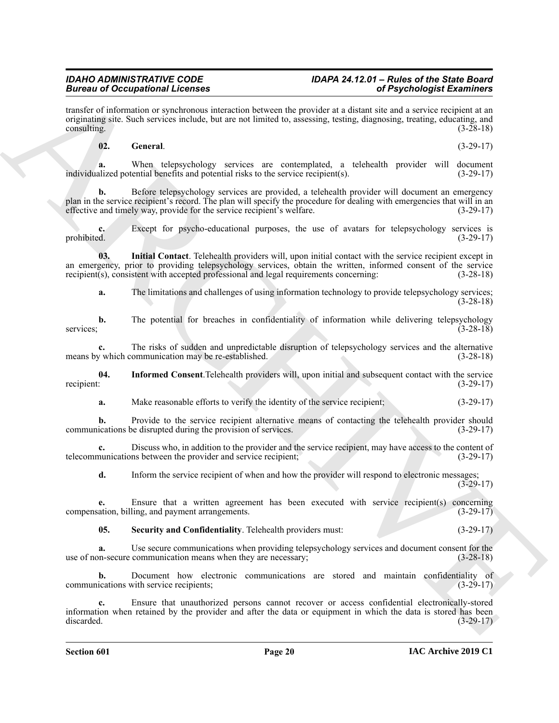### *IDAHO ADMINISTRATIVE CODE IDAPA 24.12.01 – Rules of the State Board*

Brainwise of Georgian Christians and Lemantin between the provider and the proposition of  $\theta$  proposition of  $\theta$  proposition of  $\theta$  proposition of  $\theta$  proposition of  $\theta$  provider and the state of  $\theta$  provider and th transfer of information or synchronous interaction between the provider at a distant site and a service recipient at an originating site. Such services include, but are not limited to, assessing, testing, diagnosing, treating, educating, and consulting. (3-28-18) consulting. (3-28-18)

#### <span id="page-19-0"></span>**02. General**. (3-29-17)

**a.** When telepsychology services are contemplated, a telehealth provider will document individualized potential benefits and potential risks to the service recipient(s). (3-29-17)

**b.** Before telepsychology services are provided, a telehealth provider will document an emergency plan in the service recipient's record. The plan will specify the procedure for dealing with emergencies that will in an effective and timely way, provide for the service recipient's welfare. (3-29-17)

**c.** Except for psycho-educational purposes, the use of avatars for telepsychology services is prohibited. (3-29-17)

**03. Initial Contact**. Telehealth providers will, upon initial contact with the service recipient except in an emergency, prior to providing telepsychology services, obtain the written, informed consent of the service recipient(s), consistent with accepted professional and legal requirements concerning: (3-28-18)

<span id="page-19-2"></span>**a.** The limitations and challenges of using information technology to provide telepsychology services; (3-28-18)

**b.** The potential for breaches in confidentiality of information while delivering telepsychology services;  $(3-28-18)$ 

**c.** The risks of sudden and unpredictable disruption of telepsychology services and the alternative y which communication may be re-established. (3-28-18) means by which communication may be re-established.

**04.** Informed Consent.Telehealth providers will, upon initial and subsequent contact with the service recipient: (3-29-17) recipient:  $(3-29-17)$ 

<span id="page-19-1"></span>**a.** Make reasonable efforts to verify the identity of the service recipient;  $(3-29-17)$ 

**b.** Provide to the service recipient alternative means of contacting the telehealth provider should communications be disrupted during the provision of services. (3-29-17)

**c.** Discuss who, in addition to the provider and the service recipient, may have access to the content of telecommunications between the provider and service recipient; (3-29-17)

**d.** Inform the service recipient of when and how the provider will respond to electronic messages;  $(3-29-17)$ 

**e.** Ensure that a written agreement has been executed with service recipient(s) concerning compensation, billing, and payment arrangements. (3-29-17)

<span id="page-19-3"></span>**05. Security and Confidentiality**. Telehealth providers must: (3-29-17)

**a.** Use secure communications when providing telepsychology services and document consent for the on-secure communication means when they are necessary; (3-28-18) use of non-secure communication means when they are necessary;

**b.** Document how electronic communications are stored and maintain confidentiality of communications with service recipients; (3-29-17)

**c.** Ensure that unauthorized persons cannot recover or access confidential electronically-stored information when retained by the provider and after the data or equipment in which the data is stored has been discarded. (3-29-17)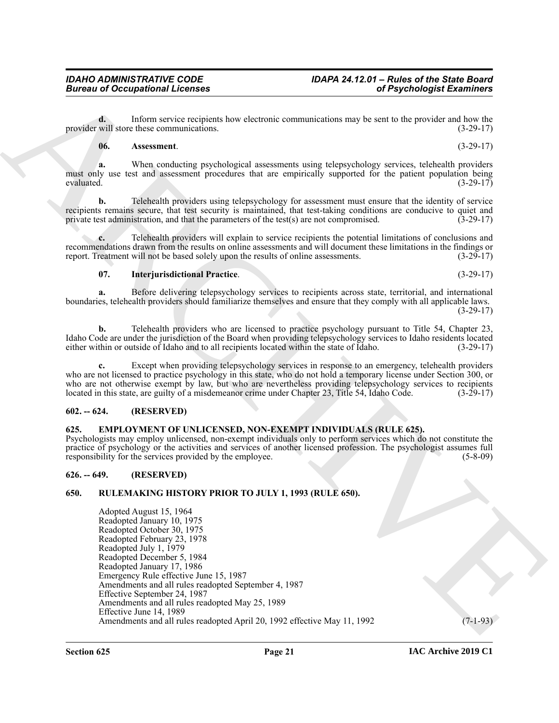**d.** Inform service recipients how electronic communications may be sent to the provider and how the provider will store these communications. (3-29-17)

#### <span id="page-20-6"></span>**06. Assessment**. (3-29-17)

**a.** When conducting psychological assessments using telepsychology services, telehealth providers must only use test and assessment procedures that are empirically supported for the patient population being evaluated.  $(3-29-17)$ 

**b.** Telehealth providers using telepsychology for assessment must ensure that the identity of service recipients remains secure, that test security is maintained, that test-taking conditions are conducive to quiet and private test administration, and that the parameters of the test(s) are not compromised. (3-29-17) private test administration, and that the parameters of the test( $s$ ) are not compromised.

**c.** Telehealth providers will explain to service recipients the potential limitations of conclusions and recommendations drawn from the results on online assessments and will document these limitations in the findings or report. Treatment will not be based solely upon the results of online assessments. (3-29-17) report. Treatment will not be based solely upon the results of online assessments.

#### <span id="page-20-7"></span>**07. Interjurisdictional Practice**. (3-29-17)

**a.** Before delivering telepsychology services to recipients across state, territorial, and international boundaries, telehealth providers should familiarize themselves and ensure that they comply with all applicable laws. (3-29-17)

**b.** Telehealth providers who are licensed to practice psychology pursuant to Title 54, Chapter 23, Idaho Code are under the jurisdiction of the Board when providing telepsychology services to Idaho residents located either within or outside of Idaho and to all recipients located within the state of Idaho. (3-29-17)

Except when providing telepsychology services in response to an emergency, telehealth providers who are not licensed to practice psychology in this state, who do not hold a temporary license under Section 300, or who are not otherwise exempt by law, but who are nevertheless providing telepsychology services to recipients located in this state, are guilty of a misdemeanor crime under Chapter 23, Title 54, Idaho Code. (3-29-17)

#### <span id="page-20-0"></span>**602. -- 624. (RESERVED)**

#### <span id="page-20-4"></span><span id="page-20-1"></span>**625. EMPLOYMENT OF UNLICENSED, NON-EXEMPT INDIVIDUALS (RULE 625).**

Psychologists may employ unlicensed, non-exempt individuals only to perform services which do not constitute the practice of psychology or the activities and services of another licensed profession. The psychologist assumes full responsibility for the services provided by the employee. (5-8-09)

#### <span id="page-20-2"></span>**626. -- 649. (RESERVED)**

#### <span id="page-20-5"></span><span id="page-20-3"></span>**650. RULEMAKING HISTORY PRIOR TO JULY 1, 1993 (RULE 650).**

Given to Occupational Licensies<br>
provides will instrument the vector of the content of Psychologia Examines (<br>
Max have the content of the content of the content of the content of the provides and  $(1, 9, 1, 1)$ <br>
We are n Adopted August 15, 1964 Readopted January 10, 1975 Readopted October 30, 1975 Readopted February 23, 1978 Readopted July 1, 1979 Readopted December 5, 1984 Readopted January 17, 1986 Emergency Rule effective June 15, 1987 Amendments and all rules readopted September 4, 1987 Effective September 24, 1987 Amendments and all rules readopted May 25, 1989 Effective June 14, 1989 Amendments and all rules readopted April 20, 1992 effective May 11, 1992 (7-1-93)

**IAC Archive 2019 C1**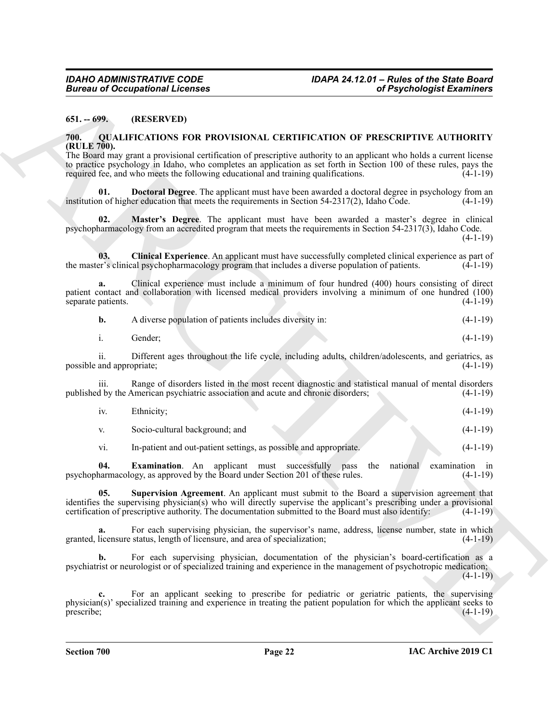#### <span id="page-21-0"></span>**651. -- 699. (RESERVED)**

#### <span id="page-21-2"></span><span id="page-21-1"></span>**700. QUALIFICATIONS FOR PROVISIONAL CERTIFICATION OF PRESCRIPTIVE AUTHORITY (RULE 700).**

The Board may grant a provisional certification of prescriptive authority to an applicant who holds a current license to practice psychology in Idaho, who completes an application as set forth in Section 100 of these rules, pays the required fee, and who meets the following educational and training qualifications. (4-1-19)

<span id="page-21-4"></span>**Doctoral Degree**. The applicant must have been awarded a doctoral degree in psychology from an institution of higher education that meets the requirements in Section  $54-2317(2)$ , Idaho Code. (4-1-19)

<span id="page-21-6"></span>**02. Master's Degree**. The applicant must have been awarded a master's degree in clinical psychopharmacology from an accredited program that meets the requirements in Section 54-2317(3), Idaho Code.  $(4-1-19)$ 

<span id="page-21-3"></span>**03. Clinical Experience**. An applicant must have successfully completed clinical experience as part of the master's clinical psychopharmacology program that includes a diverse population of patients. (4-1-19)

**a.** Clinical experience must include a minimum of four hundred (400) hours consisting of direct patient contact and collaboration with licensed medical providers involving a minimum of one hundred (100) separate patients.

| b. | A diverse population of patients includes diversity in: | $(4-1-19)$ |  |
|----|---------------------------------------------------------|------------|--|
|    |                                                         |            |  |

i. Gender; (4-1-19)

ii. Different ages throughout the life cycle, including adults, children/adolescents, and geriatrics, as possible and appropriate; (4-1-19)

iii. Range of disorders listed in the most recent diagnostic and statistical manual of mental disorders published by the American psychiatric association and acute and chronic disorders; (4-1-19)

iv. Ethnicity; (4-1-19)

v. Socio-cultural background; and (4-1-19)

<span id="page-21-7"></span><span id="page-21-5"></span>vi. In-patient and out-patient settings, as possible and appropriate. (4-1-19)

**04. Examination**. An applicant must successfully pass the national examination in narmacology as approved by the Board under Section 201 of these rules. (4-1-19) psychopharmacology, as approved by the Board under Section 201 of these rules.

**05. Supervision Agreement**. An applicant must submit to the Board a supervision agreement that identifies the supervising physician(s) who will directly supervise the applicant's prescribing under a provisional certification of prescriptive authority. The documentation submitted to the Board must also identify: (4-1-19)

For each supervising physician, the supervisor's name, address, license number, state in which granted, licensure status, length of licensure, and area of specialization; (4-1-19)

**b.** For each supervising physician, documentation of the physician's board-certification as a psychiatrist or neurologist or of specialized training and experience in the management of psychotropic medication;  $(4-1-19)$ 

ARCHIVE For an applicant seeking to prescribe for pediatric or geriatric patients, the supervising physician(s)' specialized training and experience in treating the patient population for which the applicant seeks to prescribe; (4-1-19) prescribe; (4-1-19)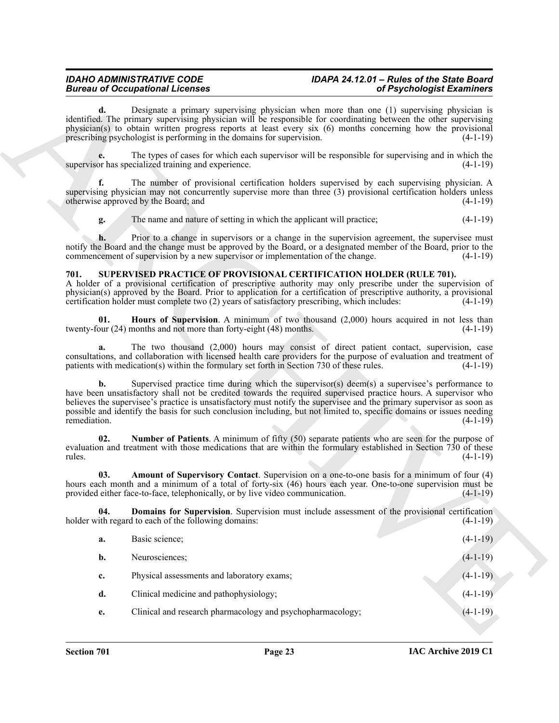#### *IDAHO ADMINISTRATIVE CODE IDAPA 24.12.01 – Rules of the State Board Bureau of Occupational Licenses*

#### <span id="page-22-5"></span><span id="page-22-4"></span><span id="page-22-3"></span><span id="page-22-2"></span><span id="page-22-1"></span><span id="page-22-0"></span>**701. SUPERVISED PRACTICE OF PROVISIONAL CERTIFICATION HOLDER (RULE 701).**

|                    | <b>Bureau of Occupational Licenses</b>                                                                                                                                                                                                                                                                                                                                                                                                                             | of Psychologist Examiners |
|--------------------|--------------------------------------------------------------------------------------------------------------------------------------------------------------------------------------------------------------------------------------------------------------------------------------------------------------------------------------------------------------------------------------------------------------------------------------------------------------------|---------------------------|
|                    | <b>d.</b> Designate a primary supervising physician when more than one (1) supervising physician is identified. The primary supervising physician will be responsible for coordinating between the other supervising<br>physician(s) to obtain written progress reports at least every six (6) months concerning how the provisional<br>prescribing psychologist is performing in the domains for supervision.                                                     | $(4-1-19)$                |
|                    | The types of cases for which each supervisor will be responsible for supervising and in which the<br>supervisor has specialized training and experience.                                                                                                                                                                                                                                                                                                           | $(4-1-19)$                |
| f.                 | The number of provisional certification holders supervised by each supervising physician. A<br>supervising physician may not concurrently supervise more than three (3) provisional certification holders unless<br>otherwise approved by the Board; and                                                                                                                                                                                                           | $(4-1-19)$                |
| g.                 | The name and nature of setting in which the applicant will practice;                                                                                                                                                                                                                                                                                                                                                                                               | $(4-1-19)$                |
| h.                 | Prior to a change in supervisors or a change in the supervision agreement, the supervisee must<br>notify the Board and the change must be approved by the Board, or a designated member of the Board, prior to the<br>commencement of supervision by a new supervisor or implementation of the change.                                                                                                                                                             | $(4-1-19)$                |
| 701.               | <b>SUPERVISED PRACTICE OF PROVISIONAL CERTIFICATION HOLDER (RULE 701).</b><br>A holder of a provisional certification of prescriptive authority may only prescribe under the supervision of<br>physician(s) approved by the Board. Prior to application for a certification of prescriptive authority, a provisional<br>certification holder must complete two (2) years of satisfactory prescribing, which includes:                                              | $(4-1-19)$                |
| 01.                | Hours of Supervision. A minimum of two thousand (2,000) hours acquired in not less than<br>twenty-four (24) months and not more than forty-eight (48) months.                                                                                                                                                                                                                                                                                                      | $(4-1-19)$                |
| a.                 | The two thousand (2,000) hours may consist of direct patient contact, supervision, case<br>consultations, and collaboration with licensed health care providers for the purpose of evaluation and treatment of<br>patients with medication(s) within the formulary set forth in Section 730 of these rules.                                                                                                                                                        | $(4-1-19)$                |
| b.<br>remediation. | Supervised practice time during which the supervisor(s) deem(s) a supervisee's performance to<br>have been unsatisfactory shall not be credited towards the required supervised practice hours. A supervisor who<br>believes the supervisee's practice is unsatisfactory must notify the supervisee and the primary supervisor as soon as<br>possible and identify the basis for such conclusion including, but not limited to, specific domains or issues needing | $(4-1-19)$                |
| 02.<br>rules.      | Number of Patients. A minimum of fifty (50) separate patients who are seen for the purpose of<br>evaluation and treatment with those medications that are within the formulary established in Section 730 of these                                                                                                                                                                                                                                                 | $(4-1-19)$                |
| 03.                | Amount of Supervisory Contact. Supervision on a one-to-one basis for a minimum of four (4)<br>hours each month and a minimum of a total of forty-six (46) hours each year. One-to-one supervision must be<br>provided either face-to-face, telephonically, or by live video communication.                                                                                                                                                                         | $(4-1-19)$                |
| 04.                | Domains for Supervision. Supervision must include assessment of the provisional certification<br>holder with regard to each of the following domains:                                                                                                                                                                                                                                                                                                              | $(4-1-19)$                |
| a.                 | Basic science;                                                                                                                                                                                                                                                                                                                                                                                                                                                     | $(4-1-19)$                |
| b.                 | Neurosciences;                                                                                                                                                                                                                                                                                                                                                                                                                                                     | $(4-1-19)$                |
|                    | Physical assessments and laboratory exams;                                                                                                                                                                                                                                                                                                                                                                                                                         | $(4-1-19)$                |
| c.                 |                                                                                                                                                                                                                                                                                                                                                                                                                                                                    |                           |
| d.                 | Clinical medicine and pathophysiology;                                                                                                                                                                                                                                                                                                                                                                                                                             | $(4-1-19)$                |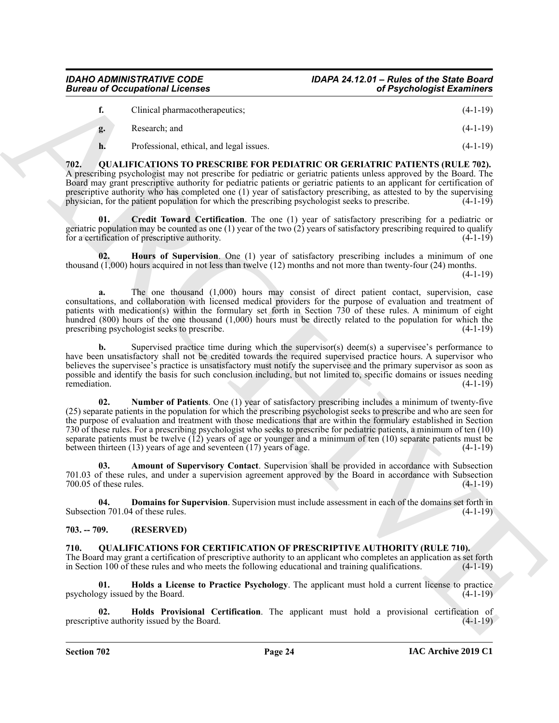|    | Clinical pharmacotherapeutics;           | $(4-1-19)$ |
|----|------------------------------------------|------------|
| g. | Research: and                            | $(4-1-19)$ |
|    | Professional, ethical, and legal issues. | $(4-1-19)$ |

<span id="page-23-7"></span><span id="page-23-0"></span>**702. QUALIFICATIONS TO PRESCRIBE FOR PEDIATRIC OR GERIATRIC PATIENTS (RULE 702).** A prescribing psychologist may not prescribe for pediatric or geriatric patients unless approved by the Board. The Board may grant prescriptive authority for pediatric patients or geriatric patients to an applicant for certification of prescriptive authority who has completed one (1) year of satisfactory prescribing, as attested to by the supervising physician, for the patient population for which the prescribing psychologist seeks to prescribe. (4-1-19)

<span id="page-23-9"></span>**Credit Toward Certification.** The one (1) year of satisfactory prescribing for a pediatric or geriatric population may be counted as one  $(1)$  year of the two  $(2)$  years of satisfactory prescribing required to qualify for a certification of prescriptive authority. (4-1-19)

<span id="page-23-3"></span>**02. Hours of Supervision**. One (1) year of satisfactory prescribing includes a minimum of one thousand (1,000) hours acquired in not less than twelve (12) months and not more than twenty-four (24) months.

(4-1-19)

**a.** The one thousand (1,000) hours may consist of direct patient contact, supervision, case consultations, and collaboration with licensed medical providers for the purpose of evaluation and treatment of patients with medication(s) within the formulary set forth in Section 730 of these rules. A minimum of eight hundred (800) hours of the one thousand (1,000) hours must be directly related to the population for which the prescribing psychologist seeks to prescribe. (4-1-19)

<span id="page-23-11"></span>**b.** Supervised practice time during which the supervisor(s) deem(s) a supervisee's performance to have been unsatisfactory shall not be credited towards the required supervised practice hours. A supervisor who believes the supervisee's practice is unsatisfactory must notify the supervisee and the primary supervisor as soon as possible and identify the basis for such conclusion including, but not limited to, specific domains or issues needing remediation. (4-1-19) remediation. (4-1-19)

Given a d Cocapsion of Licenses<br>
C Europe (1879). The state of the state of the state of the state of the state of the state of the state of the state of the state of the state of the state of the state of the state of th **02. Number of Patients**. One (1) year of satisfactory prescribing includes a minimum of twenty-five (25) separate patients in the population for which the prescribing psychologist seeks to prescribe and who are seen for the purpose of evaluation and treatment with those medications that are within the formulary established in Section 730 of these rules. For a prescribing psychologist who seeks to prescribe for pediatric patients, a minimum of ten (10) separate patients must be twelve  $(\vec{12})$  years of age or younger and a minimum of ten (10) separate patients must be between thirteen (13) years of age and seventeen (17) years of age. (4-1-19)

<span id="page-23-8"></span>**03. Amount of Supervisory Contact**. Supervision shall be provided in accordance with Subsection 701.03 of these rules, and under a supervision agreement approved by the Board in accordance with Subsection  $700.05$  of these rules. (4-1-19)

<span id="page-23-10"></span>**04. Domains for Supervision**. Supervision must include assessment in each of the domains set forth in Subsection 701.04 of these rules.  $(4-1-19)$ 

#### <span id="page-23-1"></span>**703. -- 709. (RESERVED)**

<span id="page-23-4"></span><span id="page-23-2"></span>**710. QUALIFICATIONS FOR CERTIFICATION OF PRESCRIPTIVE AUTHORITY (RULE 710).** The Board may grant a certification of prescriptive authority to an applicant who completes an application as set forth in Section 100 of these rules and who meets the following educational and training qualifications. (4-1-19)

<span id="page-23-5"></span>**01. Holds a License to Practice Psychology**. The applicant must hold a current license to practice psychology issued by the Board. (4-1-19)

<span id="page-23-6"></span>**02. Holds Provisional Certification**. The applicant must hold a provisional certification of prescriptive authority issued by the Board. (4-1-19) (4-1-19)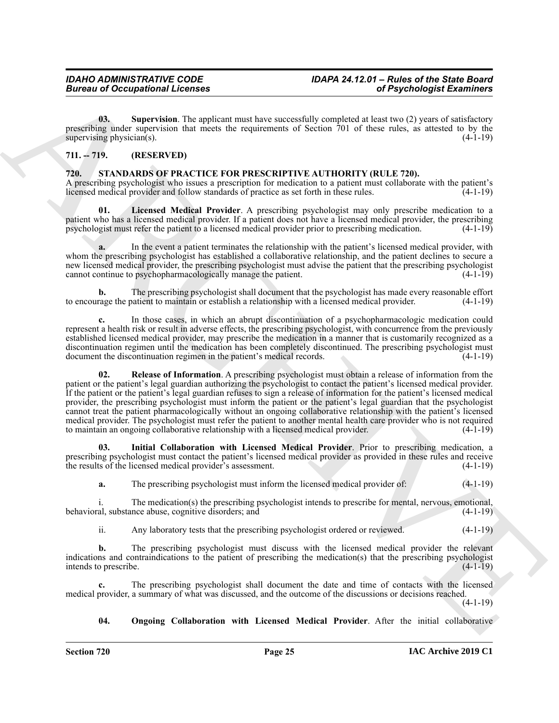<span id="page-24-2"></span>**03.** Supervision. The applicant must have successfully completed at least two (2) years of satisfactory prescribing under supervision that meets the requirements of Section 701 of these rules, as attested to by the supervising physician(s). (4-1-19) supervising physician( $s$ ).

#### <span id="page-24-0"></span>**711. -- 719. (RESERVED)**

#### <span id="page-24-3"></span><span id="page-24-1"></span>**720. STANDARDS OF PRACTICE FOR PRESCRIPTIVE AUTHORITY (RULE 720).**

A prescribing psychologist who issues a prescription for medication to a patient must collaborate with the patient's licensed medical provider and follow standards of practice as set forth in these rules. (4-1-19)

<span id="page-24-5"></span>**01. Licensed Medical Provider**. A prescribing psychologist may only prescribe medication to a patient who has a licensed medical provider. If a patient does not have a licensed medical provider, the prescribing psychologist must refer the patient to a licensed medical provider prior to prescribing medication. (4-1-19)

**a.** In the event a patient terminates the relationship with the patient's licensed medical provider, with whom the prescribing psychologist has established a collaborative relationship, and the patient declines to secure a new licensed medical provider, the prescribing psychologist must advise the patient that the prescribing psychologist cannot continue to psychopharmacologically manage the patient. (4-1-19)

**b.** The prescribing psychologist shall document that the psychologist has made every reasonable effort rage the patient to maintain or establish a relationship with a licensed medical provider. (4-1-19) to encourage the patient to maintain or establish a relationship with a licensed medical provider.

<span id="page-24-7"></span>**c.** In those cases, in which an abrupt discontinuation of a psychopharmacologic medication could represent a health risk or result in adverse effects, the prescribing psychologist, with concurrence from the previously established licensed medical provider, may prescribe the medication in a manner that is customarily recognized as a discontinuation regimen until the medication has been completely discontinued. The prescribing psychologist must<br>document the discontinuation regimen in the patient's medical records. (4-1-19) document the discontinuation regimen in the patient's medical records.

Given to Occupational Licenses<br>
(a) Specific distribution (a) Specific distribution (a) Specific distribution (b) and the specific distribution (a) Specific distribution (b) and specific distribution (b) and the specific **02. Release of Information**. A prescribing psychologist must obtain a release of information from the patient or the patient's legal guardian authorizing the psychologist to contact the patient's licensed medical provider. If the patient or the patient's legal guardian refuses to sign a release of information for the patient's licensed medical provider, the prescribing psychologist must inform the patient or the patient's legal guardian that the psychologist cannot treat the patient pharmacologically without an ongoing collaborative relationship with the patient's licensed medical provider. The psychologist must refer the patient to another mental health care provider who is not required to maintain an ongoing collaborative relationship with a licensed medical provider. (4-1-19)

**03. Initial Collaboration with Licensed Medical Provider**. Prior to prescribing medication, a prescribing psychologist must contact the patient's licensed medical provider as provided in these rules and receive<br>the results of the licensed medical provider's assessment. (4-1-19) the results of the licensed medical provider's assessment.

<span id="page-24-4"></span>**a.** The prescribing psychologist must inform the licensed medical provider of: (4-1-19)

i. The medication(s) the prescribing psychologist intends to prescribe for mental, nervous, emotional, behavioral, substance abuse, cognitive disorders; and (4-1-19)

ii. Any laboratory tests that the prescribing psychologist ordered or reviewed. (4-1-19)

**b.** The prescribing psychologist must discuss with the licensed medical provider the relevant indications and contraindications to the patient of prescribing the medication(s) that the prescribing psychologist intends to prescribe. (4-1-19)

**c.** The prescribing psychologist shall document the date and time of contacts with the licensed medical provider, a summary of what was discussed, and the outcome of the discussions or decisions reached.

 $(4-1-19)$ 

<span id="page-24-6"></span>**04. Ongoing Collaboration with Licensed Medical Provider**. After the initial collaborative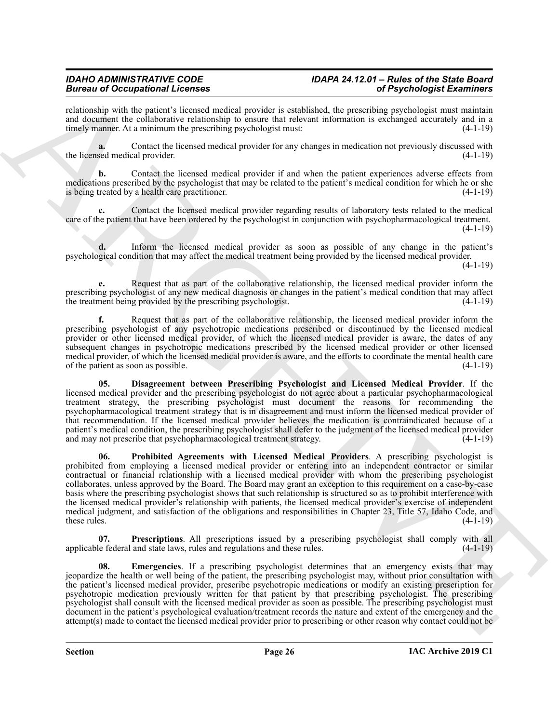## *IDAHO ADMINISTRATIVE CODE IDAPA 24.12.01 – Rules of the State Board*

relationship with the patient's licensed medical provider is established, the prescribing psychologist must maintain and document the collaborative relationship to ensure that relevant information is exchanged accurately and in a timely manner. At a minimum the prescribing psychologist must: (4-1-19)

**a.** Contact the licensed medical provider for any changes in medication not previously discussed with the licensed medical provider. (4-1-19)

**b.** Contact the licensed medical provider if and when the patient experiences adverse effects from medications prescribed by the psychologist that may be related to the patient's medical condition for which he or she is being treated by a health care practitioner. (4-1-19)

**c.** Contact the licensed medical provider regarding results of laboratory tests related to the medical care of the patient that have been ordered by the psychologist in conjunction with psychopharmacological treatment. (4-1-19)

**d.** Inform the licensed medical provider as soon as possible of any change in the patient's psychological condition that may affect the medical treatment being provided by the licensed medical provider. (4-1-19)

**e.** Request that as part of the collaborative relationship, the licensed medical provider inform the prescribing psychologist of any new medical diagnosis or changes in the patient's medical condition that may affect<br>the treatment being provided by the prescribing psychologist. (4-1-19) the treatment being provided by the prescribing psychologist.

**f.** Request that as part of the collaborative relationship, the licensed medical provider inform the prescribing psychologist of any psychotropic medications prescribed or discontinued by the licensed medical provider or other licensed medical provider, of which the licensed medical provider is aware, the dates of any subsequent changes in psychotropic medications prescribed by the licensed medical provider or other licensed medical provider, of which the licensed medical provider is aware, and the efforts to coordinate the mental health care of the patient as soon as possible. (4-1-19)

<span id="page-25-3"></span><span id="page-25-0"></span>**05. Disagreement between Prescribing Psychologist and Licensed Medical Provider**. If the licensed medical provider and the prescribing psychologist do not agree about a particular psychopharmacological treatment strategy, the prescribing psychologist must document the reasons for recommending the psychopharmacological treatment strategy that is in disagreement and must inform the licensed medical provider of that recommendation. If the licensed medical provider believes the medication is contraindicated because of a patient's medical condition, the prescribing psychologist shall defer to the judgment of the licensed medical provider and may not prescribe that psychopharmacological treatment strategy. (4-1-19)

Because of Occupation Licenses<br>
And the state is stated to the state of the state of the state of the state is a state of the state of the state of the state of the state of the state of the state of the state of the stat **06. Prohibited Agreements with Licensed Medical Providers**. A prescribing psychologist is prohibited from employing a licensed medical provider or entering into an independent contractor or similar contractual or financial relationship with a licensed medical provider with whom the prescribing psychologist collaborates, unless approved by the Board. The Board may grant an exception to this requirement on a case-by-case basis where the prescribing psychologist shows that such relationship is structured so as to prohibit interference with the licensed medical provider's relationship with patients, the licensed medical provider's exercise of independent medical judgment, and satisfaction of the obligations and responsibilities in Chapter 23, Title 57, Idaho Code, and these rules. (4-1-19) these rules.  $(4-1-19)$ 

<span id="page-25-2"></span>**Prescriptions**. All prescriptions issued by a prescribing psychologist shall comply with all and state laws, rules and regulations and these rules. (4-1-19) applicable federal and state laws, rules and regulations and these rules.

<span id="page-25-1"></span>**08. Emergencies**. If a prescribing psychologist determines that an emergency exists that may jeopardize the health or well being of the patient, the prescribing psychologist may, without prior consultation with the patient's licensed medical provider, prescribe psychotropic medications or modify an existing prescription for psychotropic medication previously written for that patient by that prescribing psychologist. The prescribing psychologist shall consult with the licensed medical provider as soon as possible. The prescribing psychologist must document in the patient's psychological evaluation/treatment records the nature and extent of the emergency and the attempt(s) made to contact the licensed medical provider prior to prescribing or other reason why contact could not be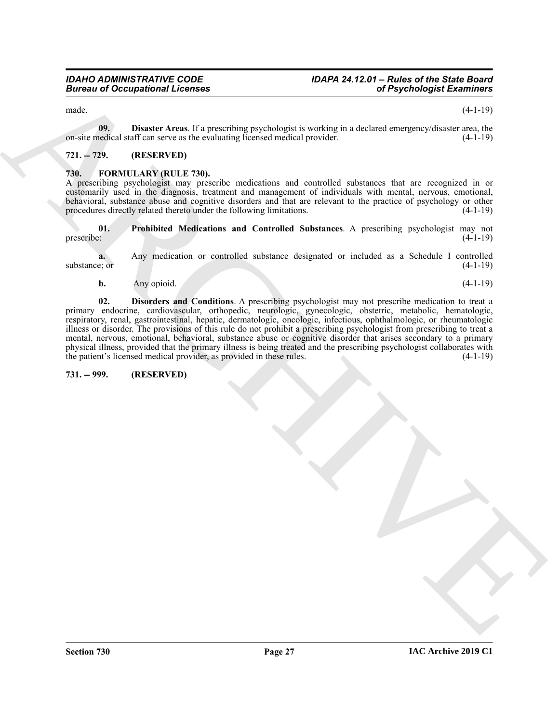<span id="page-26-7"></span>

made. (4-1-19)

**09. Disaster Areas**. If a prescribing psychologist is working in a declared emergency/disaster area, the on-site medical staff can serve as the evaluating licensed medical provider. (4-1-19)

#### <span id="page-26-0"></span>**721. -- 729. (RESERVED)**

#### <span id="page-26-4"></span><span id="page-26-1"></span>**730. FORMULARY (RULE 730).**

A prescribing psychologist may prescribe medications and controlled substances that are recognized in or customarily used in the diagnosis, treatment and management of individuals with mental, nervous, emotional, behavioral, substance abuse and cognitive disorders and that are relevant to the practice of psychology or other procedures directly related thereto under the following limitations. (4-1-19)

<span id="page-26-6"></span>**01. Prohibited Medications and Controlled Substances**. A prescribing psychologist may not prescribe: (4-1-19)

**a.** Any medication or controlled substance designated or included as a Schedule I controlled substance; or  $(4-1-19)$ 

<span id="page-26-5"></span>**b.** Any opioid. (4-1-19)

Given to a Distance term in the probability expected of the state of Psychological Examinos and<br>  $\pi$ -million and the state of the state of the state of the state of the state of the state of the state of the state of the **02. Disorders and Conditions**. A prescribing psychologist may not prescribe medication to treat a primary endocrine, cardiovascular, orthopedic, neurologic, gynecologic, obstetric, metabolic, hematologic, respiratory, renal, gastrointestinal, hepatic, dermatologic, oncologic, infectious, ophthalmologic, or rheumatologic illness or disorder. The provisions of this rule do not prohibit a prescribing psychologist from prescribing to treat a mental, nervous, emotional, behavioral, substance abuse or cognitive disorder that arises secondary to a primary physical illness, provided that the primary illness is being treated and the prescribing psychologist collaborates with the patient's licensed medical provider, as provided in these rules. (4-1-19)

#### <span id="page-26-3"></span><span id="page-26-2"></span>**731. -- 999. (RESERVED)**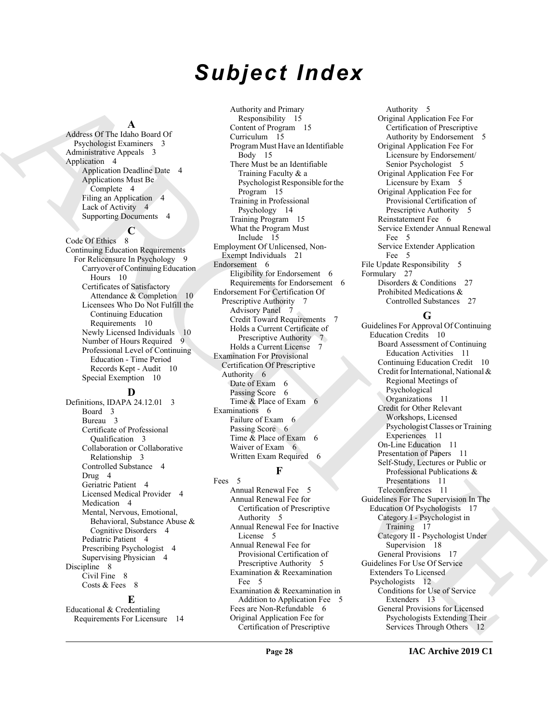## *Subject Index*

#### **A**

Address Of The Idaho Board Of Psychologist Examiners 3 Administrative Appeals 3 Application 4 Application Deadline Date 4 Applications Must Be Complete 4 Filing an Application 4 Lack of Activity 4 Supporting Documents 4

#### **C**

Code Of Ethics 8 Continuing Education Requirements For Relicensure In Psychology 9 Carryover of Continuing Education Hours 10 Certificates of Satisfactory Attendance & Completion 10 Licensees Who Do Not Fulfill the Continuing Education Requirements 10 Newly Licensed Individuals 10 Number of Hours Required 9 Professional Level of Continuing Education - Time Period Records Kept - Audit 10 Special Exemption 10

#### **D**

Definitions, IDAPA 24.12.01 3 Board 3 Bureau 3 Certificate of Professional Qualification 3 Collaboration or Collaborative Relationship 3 Controlled Substance 4 Drug 4 Geriatric Patient 4 Licensed Medical Provider 4 Medication 4 Mental, Nervous, Emotional, Behavioral, Substance Abuse & Cognitive Disorders 4 Pediatric Patient 4 Prescribing Psychologist 4 Supervising Physician 4 Discipline 8 Civil Fine 8 Costs & Fees 8

#### **E**

Educational & Credentialing Requirements For Licensure 14

[A](#page-2-10)ddition Of D. Alton [E](#page-11-2)ccel (a)  $\frac{1}{2}$  Archives (b)  $\frac{1}{2}$  Archives (b)  $\frac{1}{2}$  Archives (b)  $\frac{1}{2}$  Archives (b)  $\frac{1}{2}$  Archives (b)  $\frac{1}{2}$  Archives (b)  $\frac{1}{2}$  Archives (b)  $\frac{1}{2}$  Archives (b)  $\frac{1}{$ Authority and Primary Responsibility 15 Content of Program 15 Curriculum 15 Program Must Have an Identifiable Body 15 There Must be an Identifiable Training Faculty & a Psychologist Responsible for the Program 15 Training in Professional Psychology 14 Training Program 15 What the Program Must Include 15 Employment Of Unlicensed, Non-Exempt Individuals 21 Endorsement 6 Eligibility for Endorsement 6 Requirements for Endorsement 6 Endorsement For Certification Of Prescriptive Authority 7 Advisory Panel 7 Credit Toward Requirements 7 Holds a Current Certificate of Prescriptive Authority 7 Holds a Current License 7 Examination For Provisional Certification Of Prescriptive Authority 6 Date of Exam 6 Passing Score 6 Time & Place of Exam 6 Examinations 6 Failure of Exam 6 Passing Score 6 Time & Place of Exam 6 Waiver of Exam 6

#### Written Exam Required 6 **F**

Fees 5 Annual Renewal Fee 5 Annual Renewal Fee for Certification of Prescriptive Authority 5 Annual Renewal Fee for Inactive License 5 Annual Renewal Fee for Provisional Certification of Prescriptive Authority 5 Examination & Reexamination Fee 5 Examination & Reexamination in Addition to Application Fee 5 Fees are Non-Refundable 6 Original Application Fee for Certification of Prescriptive

Authority 5 Original Application Fee For Certification of Prescriptive Authority by Endorsement 5 Original Application Fee For Licensure by Endorsement/ Senior Psychologist 5 Original Application Fee For Licensure by Exam 5 Original Application Fee for Provisional Certification of Prescriptive Authority 5 Reinstatement Fee 6 Service Extender Annual Renewal Fee 5 Service Extender Application Fee 5 File Update Responsibility 5 Formulary 27 Disorders & Conditions 27 Prohibited Medications &

#### Controlled Substances 27 **G**

Guidelines For Approval Of Continuing Education Credits 10 Board Assessment of Continuing Education Activities 11 Continuing Education Credit 10 Credit for International, National & Regional Meetings of Psychological Organizations 11 Credit for Other Relevant Workshops, Licensed Psychologist Classes or Training Experiences 11 On-Line Education 11 Presentation of Papers 11 Self-Study, Lectures or Public or Professional Publications & Presentations 11 Teleconferences 11 Guidelines For The Supervision In The Education Of Psychologists 17 Category I - Psychologist in Training 17 Category II - Psychologist Under Supervision 18 General Provisions 17 Guidelines For Use Of Service Extenders To Licensed Psychologists 12 Conditions for Use of Service Extenders 13 General Provisions for Licensed Psychologists Extending Their Services Through Others 12